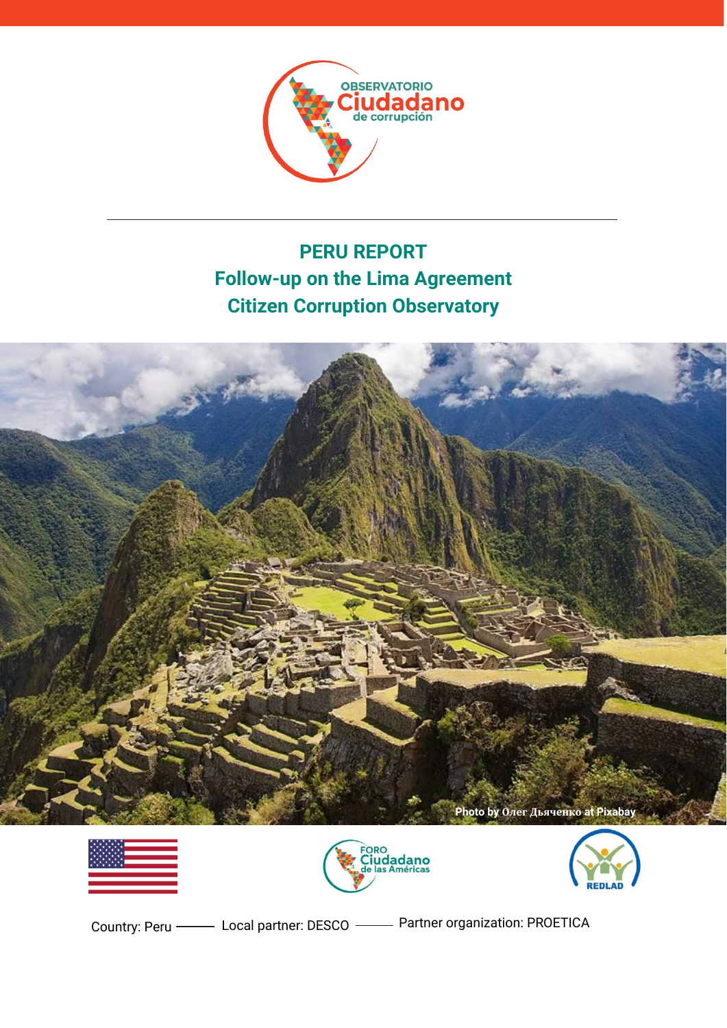

# **PERU REPORT Follow-up on the Lima Agreement Citizen Corruption Observatory**









Country: Peru —— Local partner: DESCO —— Partner organization: PROETICA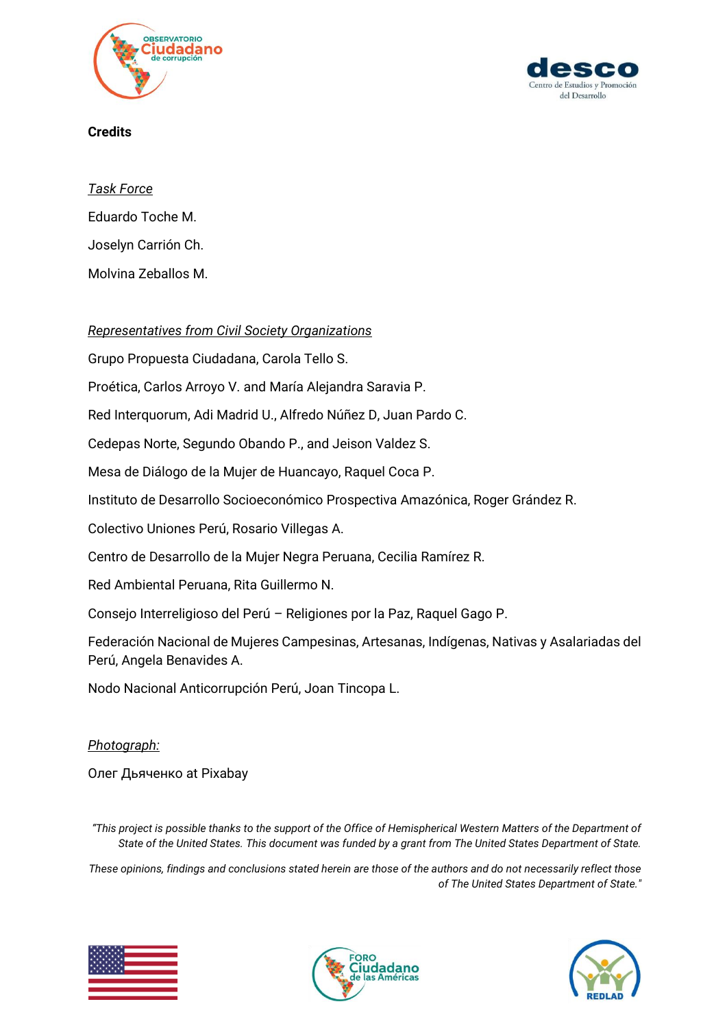



### **Credits**

*Task Force*

Eduardo Toche M. Joselyn Carrión Ch. Molvina Zeballos M.

### *Representatives from Civil Society Organizations*

Grupo Propuesta Ciudadana, Carola Tello S.

Proética, Carlos Arroyo V. and María Alejandra Saravia P.

Red Interquorum, Adi Madrid U., Alfredo Núñez D, Juan Pardo C.

Cedepas Norte, Segundo Obando P., and Jeison Valdez S.

Mesa de Diálogo de la Mujer de Huancayo, Raquel Coca P.

Instituto de Desarrollo Socioeconómico Prospectiva Amazónica, Roger Grández R.

Colectivo Uniones Perú, Rosario Villegas A.

Centro de Desarrollo de la Mujer Negra Peruana, Cecilia Ramírez R.

Red Ambiental Peruana, Rita Guillermo N.

Consejo Interreligioso del Perú – Religiones por la Paz, Raquel Gago P.

Federación Nacional de Mujeres Campesinas, Artesanas, Indígenas, Nativas y Asalariadas del Perú, Angela Benavides A.

Nodo Nacional Anticorrupción Perú, Joan Tincopa L.

#### *Photograph:*

Олег Дьяченко at Pixabay

*"This project is possible thanks to the support of the Office of Hemispherical Western Matters of the Department of State of the United States. This document was funded by a grant from The United States Department of State.* 

*These opinions, findings and conclusions stated herein are those of the authors and do not necessarily reflect those of The United States Department of State."*





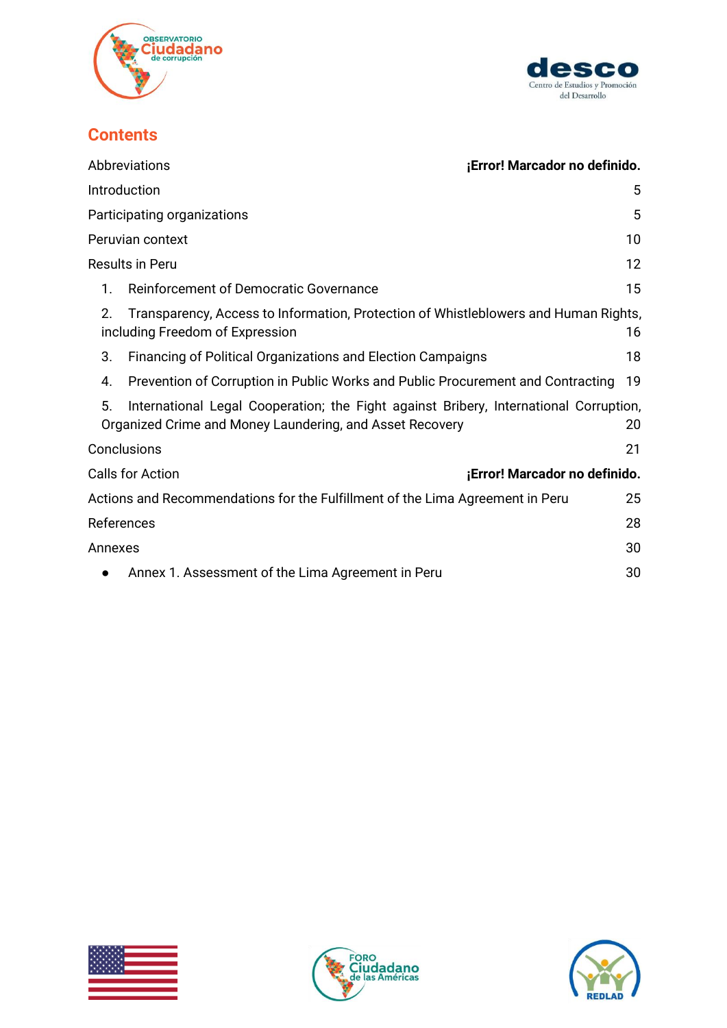



# **Contents**

|         | <b>Abbreviations</b>                                                                                                   | ¡Error! Marcador no definido. |
|---------|------------------------------------------------------------------------------------------------------------------------|-------------------------------|
|         | Introduction                                                                                                           | 5                             |
|         | Participating organizations                                                                                            | 5                             |
|         | Peruvian context                                                                                                       | 10                            |
|         | <b>Results in Peru</b>                                                                                                 | 12                            |
| 1.      | Reinforcement of Democratic Governance                                                                                 | 15                            |
| 2.      | Transparency, Access to Information, Protection of Whistleblowers and Human Rights,<br>including Freedom of Expression | 16                            |
| 3.      | <b>Financing of Political Organizations and Election Campaigns</b>                                                     | 18                            |
| 4.      | Prevention of Corruption in Public Works and Public Procurement and Contracting                                        | 19                            |
| 5.      | International Legal Cooperation; the Fight against Bribery, International Corruption,                                  |                               |
|         | Organized Crime and Money Laundering, and Asset Recovery                                                               | 20                            |
|         | Conclusions                                                                                                            | 21                            |
|         | Calls for Action                                                                                                       | ¡Error! Marcador no definido. |
|         | Actions and Recommendations for the Fulfillment of the Lima Agreement in Peru                                          | 25                            |
|         | References                                                                                                             | 28                            |
| Annexes |                                                                                                                        | 30                            |
|         | Annex 1. Assessment of the Lima Agreement in Peru                                                                      | 30                            |





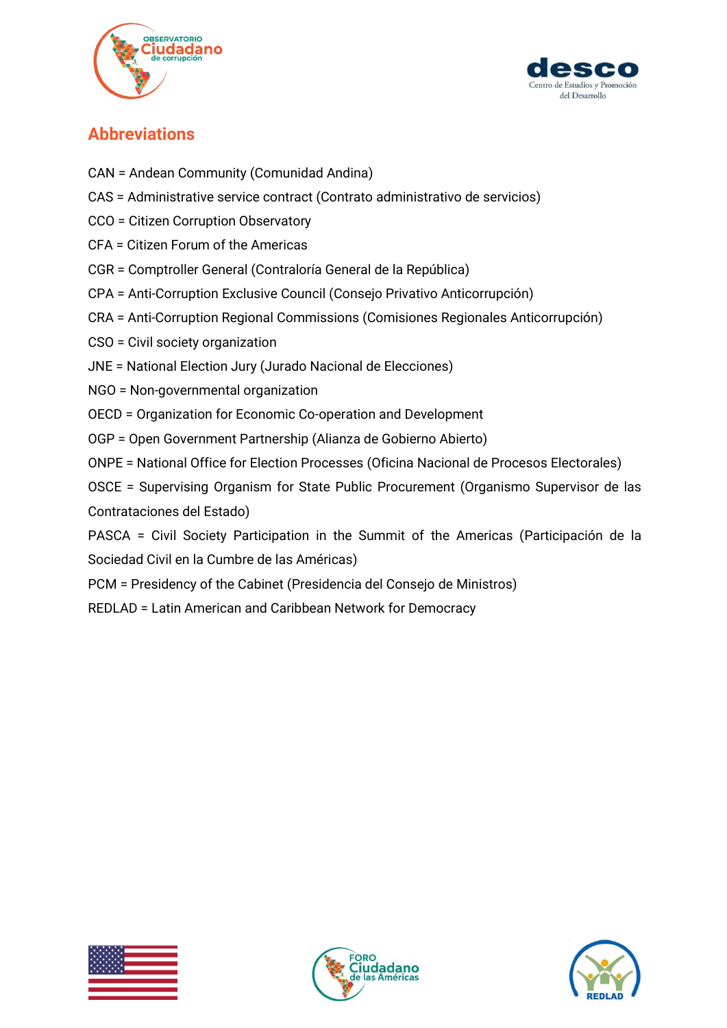



# **Abbreviations**

- CAN = Andean Community (Comunidad Andina)
- CAS = Administrative service contract (Contrato administrativo de servicios)
- CCO = Citizen Corruption Observatory
- CFA = Citizen Forum of the Americas
- CGR = Comptroller General (Contraloría General de la República)
- CPA = Anti-Corruption Exclusive Council (Consejo Privativo Anticorrupción)
- CRA = Anti-Corruption Regional Commissions (Comisiones Regionales Anticorrupción)
- CSO = Civil society organization
- JNE = National Election Jury (Jurado Nacional de Elecciones)
- NGO = Non-governmental organization
- OECD = Organization for Economic Co-operation and Development
- OGP = Open Government Partnership (Alianza de Gobierno Abierto)
- ONPE = National Office for Election Processes (Oficina Nacional de Procesos Electorales)
- OSCE = Supervising Organism for State Public Procurement (Organismo Supervisor de las Contrataciones del Estado)
- PASCA = Civil Society Participation in the Summit of the Americas (Participación de la Sociedad Civil en la Cumbre de las Américas)
- PCM = Presidency of the Cabinet (Presidencia del Consejo de Ministros)
- REDLAD = Latin American and Caribbean Network for Democracy





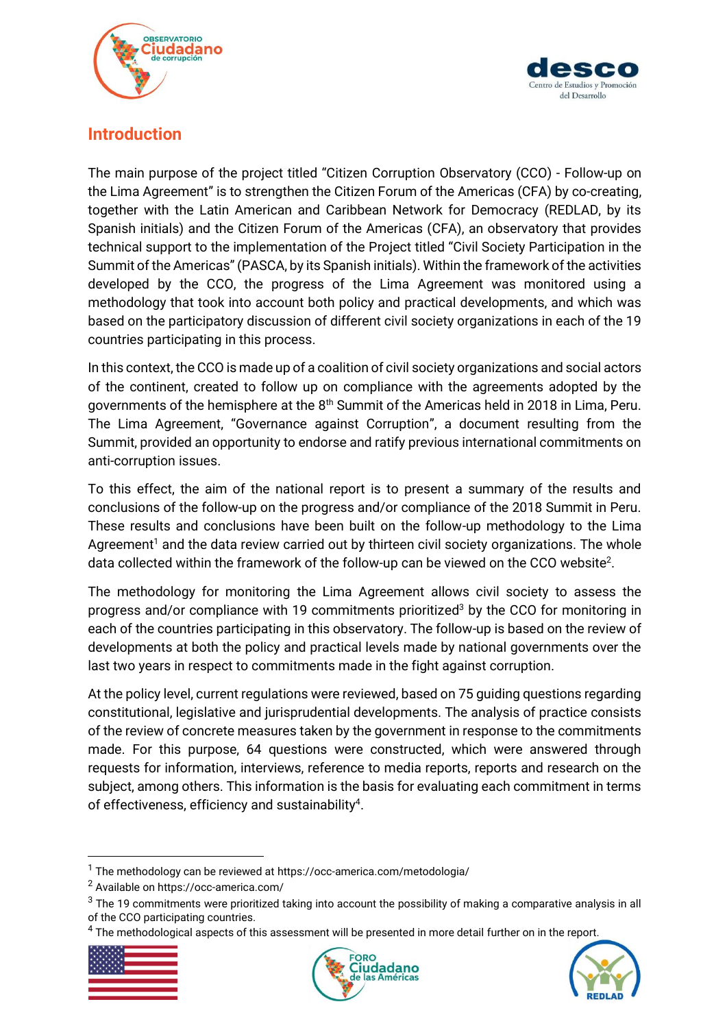



## <span id="page-4-0"></span>**Introduction**

The main purpose of the project titled "Citizen Corruption Observatory (CCO) - Follow-up on the Lima Agreement" is to strengthen the Citizen Forum of the Americas (CFA) by co-creating, together with the Latin American and Caribbean Network for Democracy (REDLAD, by its Spanish initials) and the Citizen Forum of the Americas (CFA), an observatory that provides technical support to the implementation of the Project titled "Civil Society Participation in the Summit of the Americas"(PASCA, by its Spanish initials). Within the framework of the activities developed by the CCO, the progress of the Lima Agreement was monitored using a methodology that took into account both policy and practical developments, and which was based on the participatory discussion of different civil society organizations in each of the 19 countries participating in this process.

In this context, the CCO is made up of a coalition of civil society organizations and social actors of the continent, created to follow up on compliance with the agreements adopted by the governments of the hemisphere at the 8<sup>th</sup> Summit of the Americas held in 2018 in Lima, Peru. The Lima Agreement, "Governance against Corruption", a document resulting from the Summit, provided an opportunity to endorse and ratify previous international commitments on anti-corruption issues.

To this effect, the aim of the national report is to present a summary of the results and conclusions of the follow-up on the progress and/or compliance of the 2018 Summit in Peru. These results and conclusions have been built on the follow-up methodology to the Lima Agreement<sup>1</sup> and the data review carried out by thirteen civil society organizations. The whole data collected within the framework of the follow-up can be viewed on the CCO website<sup>2</sup>.

The methodology for monitoring the Lima Agreement allows civil society to assess the progress and/or compliance with 19 commitments prioritized<sup>3</sup> by the CCO for monitoring in each of the countries participating in this observatory. The follow-up is based on the review of developments at both the policy and practical levels made by national governments over the last two years in respect to commitments made in the fight against corruption.

<span id="page-4-1"></span>At the policy level, current regulations were reviewed, based on 75 guiding questions regarding constitutional, legislative and jurisprudential developments. The analysis of practice consists of the review of concrete measures taken by the government in response to the commitments made. For this purpose, 64 questions were constructed, which were answered through requests for information, interviews, reference to media reports, reports and research on the subject, among others. This information is the basis for evaluating each commitment in terms of effectiveness, efficiency and sustainability $4$ .

 $<sup>4</sup>$  The methodological aspects of this assessment will be presented in more detail further on in the report.</sup>







<sup>1</sup> The methodology can be reviewed at https://occ-america.com/metodologia/

<sup>2</sup> Available on https://occ-america.com/

 $3$  The 19 commitments were prioritized taking into account the possibility of making a comparative analysis in all of the CCO participating countries.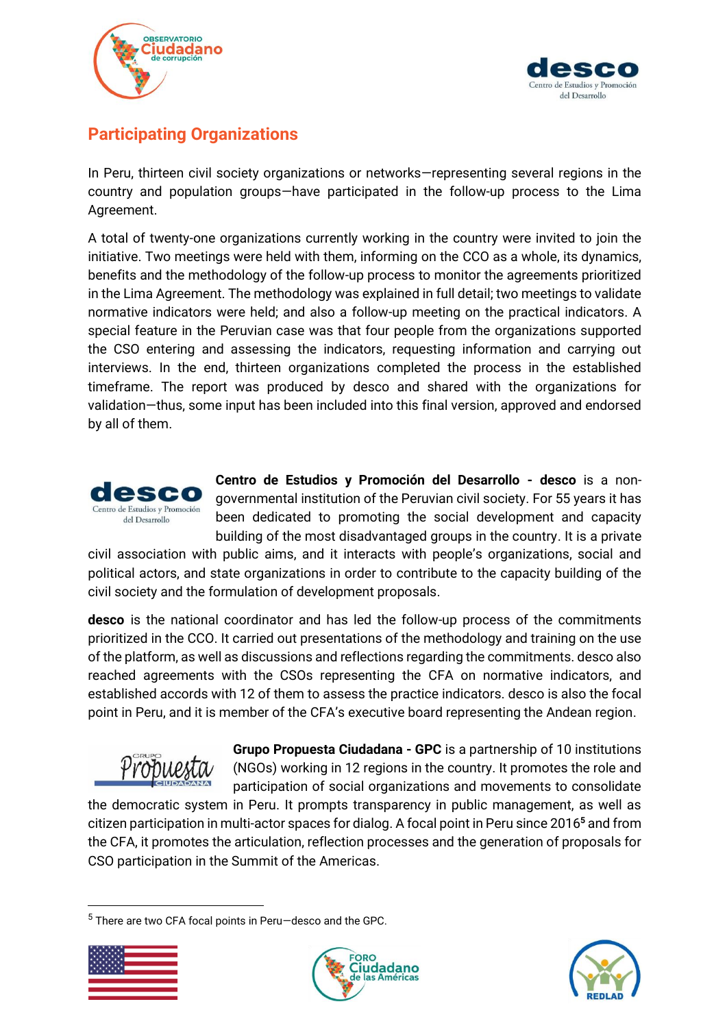



# **Participating Organizations**

In Peru, thirteen civil society organizations or networks—representing several regions in the country and population groups—have participated in the follow-up process to the Lima Agreement.

A total of twenty-one organizations currently working in the country were invited to join the initiative. Two meetings were held with them, informing on the CCO as a whole, its dynamics, benefits and the methodology of the follow-up process to monitor the agreements prioritized in the Lima Agreement. The methodology was explained in full detail; two meetings to validate normative indicators were held; and also a follow-up meeting on the practical indicators. A special feature in the Peruvian case was that four people from the organizations supported the CSO entering and assessing the indicators, requesting information and carrying out interviews. In the end, thirteen organizations completed the process in the established timeframe. The report was produced by desco and shared with the organizations for validation—thus, some input has been included into this final version, approved and endorsed by all of them.



**Centro de Estudios y Promoción del Desarrollo - desco** is a nongovernmental institution of the Peruvian civil society. For 55 years it has been dedicated to promoting the social development and capacity building of the most disadvantaged groups in the country. It is a private

civil association with public aims, and it interacts with people's organizations, social and political actors, and state organizations in order to contribute to the capacity building of the civil society and the formulation of development proposals.

**desco** is the national coordinator and has led the follow-up process of the commitments prioritized in the CCO. It carried out presentations of the methodology and training on the use of the platform, as well as discussions and reflections regarding the commitments. desco also reached agreements with the CSOs representing the CFA on normative indicators, and established accords with 12 of them to assess the practice indicators. desco is also the focal point in Peru, and it is member of the CFA's executive board representing the Andean region.



**Grupo Propuesta Ciudadana - GPC** is a partnership of 10 institutions (NGOs) working in 12 regions in the country. It promotes the role and participation of social organizations and movements to consolidate

the democratic system in Peru. It prompts transparency in public management, as well as citizen participation in multi-actor spaces for dialog. A focal point in Peru since 2016**<sup>5</sup>** and from the CFA, it promotes the articulation, reflection processes and the generation of proposals for CSO participation in the Summit of the Americas.

<sup>5</sup> There are two CFA focal points in Peru—desco and the GPC.





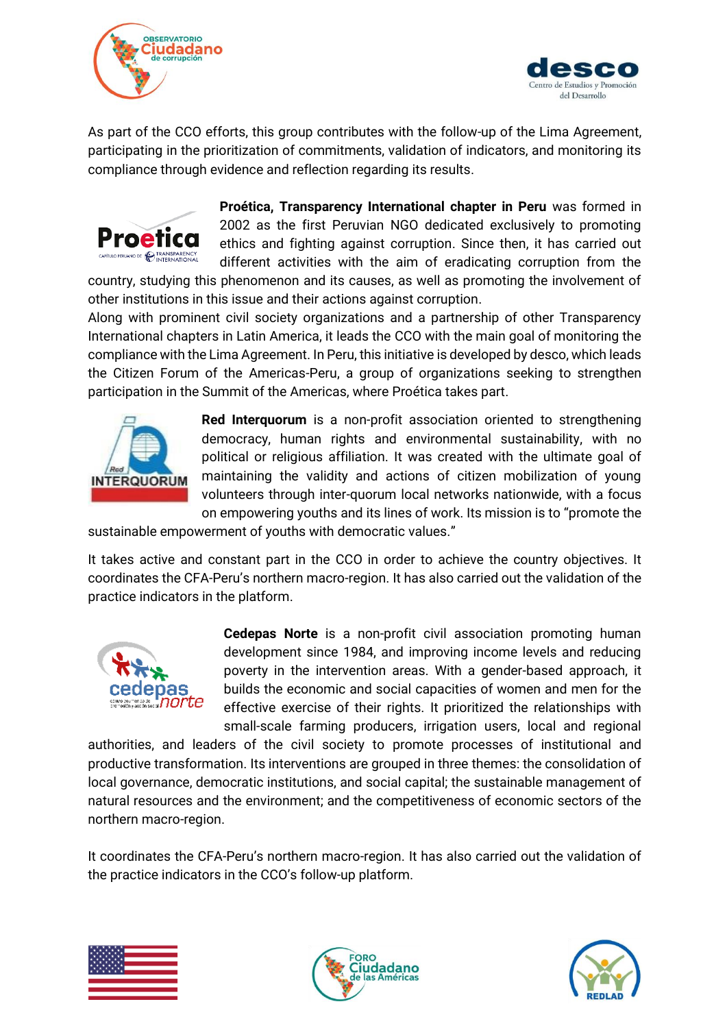



As part of the CCO efforts, this group contributes with the follow-up of the Lima Agreement, participating in the prioritization of commitments, validation of indicators, and monitoring its compliance through evidence and reflection regarding its results.



**Proética, Transparency International chapter in Peru** was formed in 2002 as the first Peruvian NGO dedicated exclusively to promoting ethics and fighting against corruption. Since then, it has carried out different activities with the aim of eradicating corruption from the

country, studying this phenomenon and its causes, as well as promoting the involvement of other institutions in this issue and their actions against corruption.

Along with prominent civil society organizations and a partnership of other Transparency International chapters in Latin America, it leads the CCO with the main goal of monitoring the compliance with the Lima Agreement. In Peru, this initiative is developed by desco, which leads the Citizen Forum of the Americas-Peru, a group of organizations seeking to strengthen participation in the Summit of the Americas, where Proética takes part.



**Red Interquorum** is a non-profit association oriented to strengthening democracy, human rights and environmental sustainability, with no political or religious affiliation. It was created with the ultimate goal of maintaining the validity and actions of citizen mobilization of young volunteers through inter-quorum local networks nationwide, with a focus on empowering youths and its lines of work. Its mission is to "promote the

sustainable empowerment of youths with democratic values."

It takes active and constant part in the CCO in order to achieve the country objectives. It coordinates the CFA-Peru's northern macro-region. It has also carried out the validation of the practice indicators in the platform.



**Cedepas Norte** is a non-profit civil association promoting human development since 1984, and improving income levels and reducing poverty in the intervention areas. With a gender-based approach, it builds the economic and social capacities of women and men for the effective exercise of their rights. It prioritized the relationships with small-scale farming producers, irrigation users, local and regional

authorities, and leaders of the civil society to promote processes of institutional and productive transformation. Its interventions are grouped in three themes: the consolidation of local governance, democratic institutions, and social capital; the sustainable management of natural resources and the environment; and the competitiveness of economic sectors of the northern macro-region.

It coordinates the CFA-Peru's northern macro-region. It has also carried out the validation of the practice indicators in the CCO's follow-up platform.





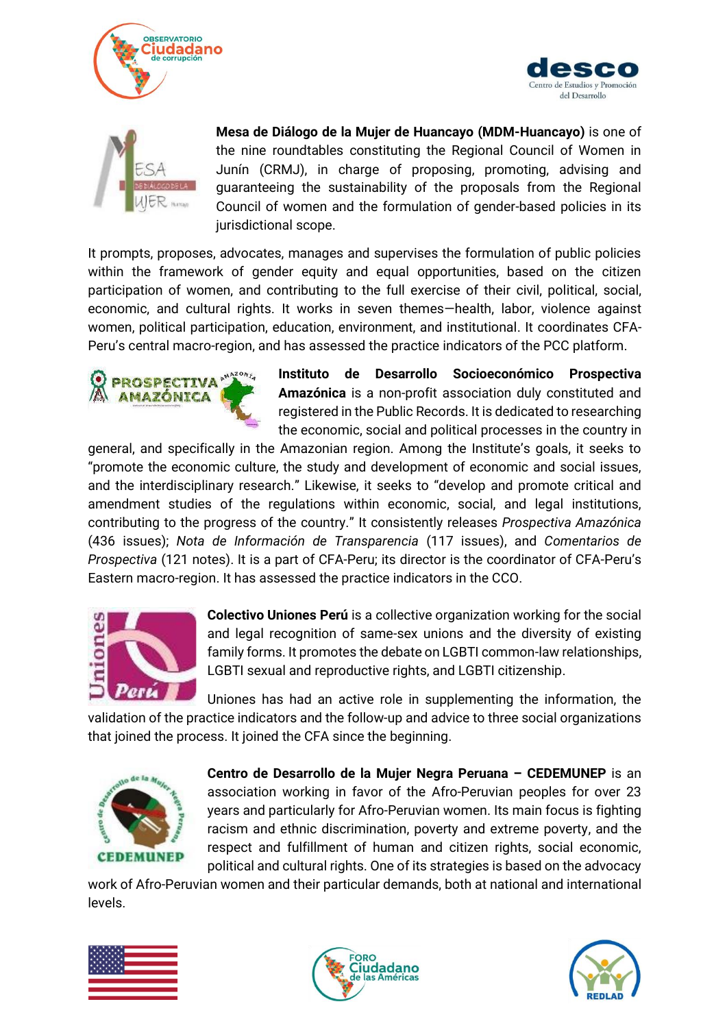





**Mesa de Diálogo de la Mujer de Huancayo (MDM-Huancayo)** is one of the nine roundtables constituting the Regional Council of Women in Junín (CRMJ), in charge of proposing, promoting, advising and guaranteeing the sustainability of the proposals from the Regional Council of women and the formulation of gender-based policies in its jurisdictional scope.

It prompts, proposes, advocates, manages and supervises the formulation of public policies within the framework of gender equity and equal opportunities, based on the citizen participation of women, and contributing to the full exercise of their civil, political, social, economic, and cultural rights. It works in seven themes—health, labor, violence against women, political participation, education, environment, and institutional. It coordinates CFA-Peru's central macro-region, and has assessed the practice indicators of the PCC platform.



**Instituto de Desarrollo Socioeconómico Prospectiva Amazónica** is a non-profit association duly constituted and registered in the Public Records. It is dedicated to researching the economic, social and political processes in the country in

general, and specifically in the Amazonian region. Among the Institute's goals, it seeks to "promote the economic culture, the study and development of economic and social issues, and the interdisciplinary research." Likewise, it seeks to "develop and promote critical and amendment studies of the regulations within economic, social, and legal institutions, contributing to the progress of the country." It consistently releases *Prospectiva Amazónica* (436 issues); *Nota de Información de Transparencia* (117 issues), and *Comentarios de Prospectiva* (121 notes). It is a part of CFA-Peru; its director is the coordinator of CFA-Peru's Eastern macro-region. It has assessed the practice indicators in the CCO.



**Colectivo Uniones Perú** is a collective organization working for the social and legal recognition of same-sex unions and the diversity of existing family forms. It promotes the debate on LGBTI common-law relationships, LGBTI sexual and reproductive rights, and LGBTI citizenship.

Uniones has had an active role in supplementing the information, the validation of the practice indicators and the follow-up and advice to three social organizations that joined the process. It joined the CFA since the beginning.



**Centro de Desarrollo de la Mujer Negra Peruana – CEDEMUNEP** is an association working in favor of the Afro-Peruvian peoples for over 23 years and particularly for Afro-Peruvian women. Its main focus is fighting racism and ethnic discrimination, poverty and extreme poverty, and the respect and fulfillment of human and citizen rights, social economic, political and cultural rights. One of its strategies is based on the advocacy

work of Afro-Peruvian women and their particular demands, both at national and international levels.





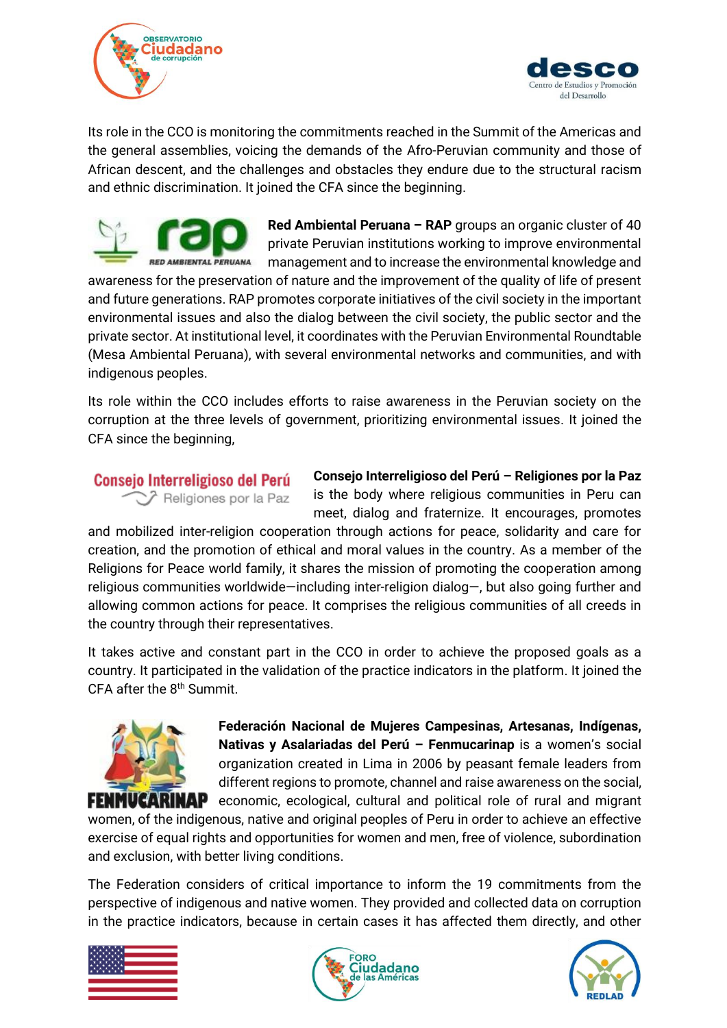



Its role in the CCO is monitoring the commitments reached in the Summit of the Americas and the general assemblies, voicing the demands of the Afro-Peruvian community and those of African descent, and the challenges and obstacles they endure due to the structural racism and ethnic discrimination. It joined the CFA since the beginning.



**Red Ambiental Peruana – RAP** groups an organic cluster of 40 private Peruvian institutions working to improve environmental management and to increase the environmental knowledge and

awareness for the preservation of nature and the improvement of the quality of life of present and future generations. RAP promotes corporate initiatives of the civil society in the important environmental issues and also the dialog between the civil society, the public sector and the private sector. At institutional level, it coordinates with the Peruvian Environmental Roundtable (Mesa Ambiental Peruana), with several environmental networks and communities, and with indigenous peoples.

Its role within the CCO includes efforts to raise awareness in the Peruvian society on the corruption at the three levels of government, prioritizing environmental issues. It joined the CFA since the beginning,

### Consejo Interreligioso del Perú Religiones por la Paz

**Consejo Interreligioso del Perú – Religiones por la Paz**  is the body where religious communities in Peru can meet, dialog and fraternize. It encourages, promotes

and mobilized inter-religion cooperation through actions for peace, solidarity and care for creation, and the promotion of ethical and moral values in the country. As a member of the Religions for Peace world family, it shares the mission of promoting the cooperation among religious communities worldwide—including inter-religion dialog—, but also going further and allowing common actions for peace. It comprises the religious communities of all creeds in the country through their representatives.

It takes active and constant part in the CCO in order to achieve the proposed goals as a country. It participated in the validation of the practice indicators in the platform. It joined the CFA after the 8<sup>th</sup> Summit.



**Federación Nacional de Mujeres Campesinas, Artesanas, Indígenas, Nativas y Asalariadas del Perú – Fenmucarinap** is a women's social organization created in Lima in 2006 by peasant female leaders from different regions to promote, channel and raise awareness on the social, **FENMUCARINAP** economic, ecological, cultural and political role of rural and migrant

women, of the indigenous, native and original peoples of Peru in order to achieve an effective exercise of equal rights and opportunities for women and men, free of violence, subordination and exclusion, with better living conditions.

The Federation considers of critical importance to inform the 19 commitments from the perspective of indigenous and native women. They provided and collected data on corruption in the practice indicators, because in certain cases it has affected them directly, and other





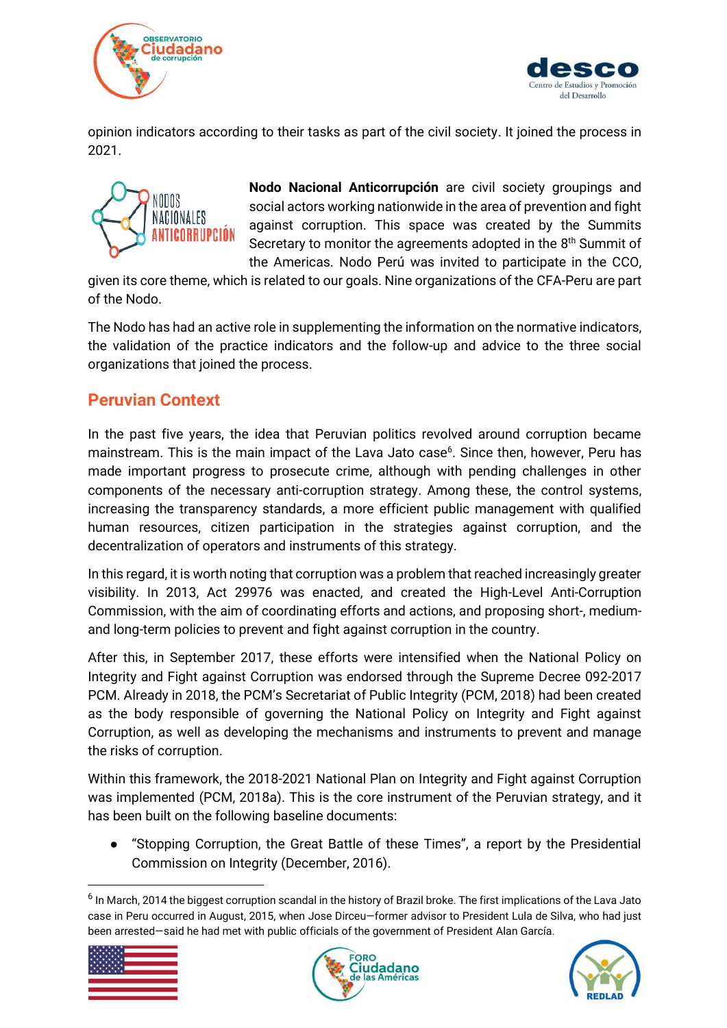



opinion indicators according to their tasks as part of the civil society. It joined the process in 2021.



**Nodo Nacional Anticorrupción** are civil society groupings and social actors working nationwide in the area of prevention and fight against corruption. This space was created by the Summits Secretary to monitor the agreements adopted in the 8<sup>th</sup> Summit of the Americas. Nodo Perú was invited to participate in the CCO,

given its core theme, which is related to our goals. Nine organizations of the CFA-Peru are part of the Nodo.

The Nodo has had an active role in supplementing the information on the normative indicators, the validation of the practice indicators and the follow-up and advice to the three social organizations that joined the process.

# <span id="page-9-0"></span>**Peruvian Context**

In the past five years, the idea that Peruvian politics revolved around corruption became mainstream. This is the main impact of the Lava Jato case<sup>6</sup>. Since then, however, Peru has made important progress to prosecute crime, although with pending challenges in other components of the necessary anti-corruption strategy. Among these, the control systems, increasing the transparency standards, a more efficient public management with qualified human resources, citizen participation in the strategies against corruption, and the decentralization of operators and instruments of this strategy.

In this regard, it is worth noting that corruption was a problem that reached increasingly greater visibility. In 2013, Act 29976 was enacted, and created the High-Level Anti-Corruption Commission, with the aim of coordinating efforts and actions, and proposing short-, mediumand long-term policies to prevent and fight against corruption in the country.

After this, in September 2017, these efforts were intensified when the National Policy on Integrity and Fight against Corruption was endorsed through the Supreme Decree 092-2017 PCM. Already in 2018, the PCM's Secretariat of Public Integrity (PCM, 2018) had been created as the body responsible of governing the National Policy on Integrity and Fight against Corruption, as well as developing the mechanisms and instruments to prevent and manage the risks of corruption.

Within this framework, the 2018-2021 National Plan on Integrity and Fight against Corruption was implemented (PCM, 2018a). This is the core instrument of the Peruvian strategy, and it has been built on the following baseline documents:

"Stopping Corruption, the Great Battle of these Times", a report by the Presidential Commission on Integrity (December, 2016).

<sup>&</sup>lt;sup>6</sup> In March, 2014 the biggest corruption scandal in the history of Brazil broke. The first implications of the Lava Jato case in Peru occurred in August, 2015, when Jose Dirceu—former advisor to President Lula de Silva, who had just been arrested—said he had met with public officials of the government of President Alan García.





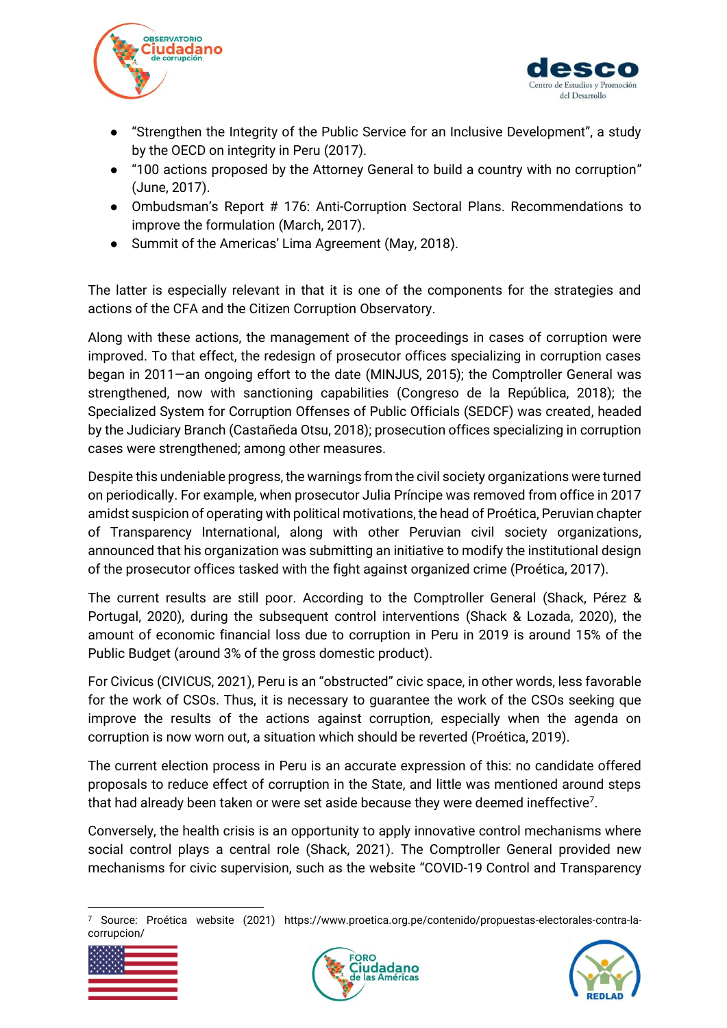



- "Strengthen the Integrity of the Public Service for an Inclusive Development", a study by the OECD on integrity in Peru (2017).
- "100 actions proposed by the Attorney General to build a country with no corruption" (June, 2017).
- Ombudsman's Report # 176: Anti-Corruption Sectoral Plans. Recommendations to improve the formulation (March, 2017).
- Summit of the Americas' Lima Agreement (May, 2018).

The latter is especially relevant in that it is one of the components for the strategies and actions of the CFA and the Citizen Corruption Observatory.

Along with these actions, the management of the proceedings in cases of corruption were improved. To that effect, the redesign of prosecutor offices specializing in corruption cases began in 2011—an ongoing effort to the date (MINJUS, 2015); the Comptroller General was strengthened, now with sanctioning capabilities (Congreso de la República, 2018); the Specialized System for Corruption Offenses of Public Officials (SEDCF) was created, headed by the Judiciary Branch (Castañeda Otsu, 2018); prosecution offices specializing in corruption cases were strengthened; among other measures.

Despite this undeniable progress, the warnings from the civil society organizations were turned on periodically. For example, when prosecutor Julia Príncipe was removed from office in 2017 amidst suspicion of operating with political motivations, the head of Proética, Peruvian chapter of Transparency International, along with other Peruvian civil society organizations, announced that his organization was submitting an initiative to modify the institutional design of the prosecutor offices tasked with the fight against organized crime (Proética, 2017).

The current results are still poor. According to the Comptroller General (Shack, Pérez & Portugal, 2020), during the subsequent control interventions (Shack & Lozada, 2020), the amount of economic financial loss due to corruption in Peru in 2019 is around 15% of the Public Budget (around 3% of the gross domestic product).

For Civicus (CIVICUS, 2021), Peru is an "obstructed" civic space, in other words, less favorable for the work of CSOs. Thus, it is necessary to guarantee the work of the CSOs seeking que improve the results of the actions against corruption, especially when the agenda on corruption is now worn out, a situation which should be reverted (Proética, 2019).

The current election process in Peru is an accurate expression of this: no candidate offered proposals to reduce effect of corruption in the State, and little was mentioned around steps that had already been taken or were set aside because they were deemed ineffective<sup>7</sup>.

Conversely, the health crisis is an opportunity to apply innovative control mechanisms where social control plays a central role (Shack, 2021). The Comptroller General provided new mechanisms for civic supervision, such as the website "COVID-19 Control and Transparency

<sup>7</sup> Source: Proética website (2021) https://www.proetica.org.pe/contenido/propuestas-electorales-contra-lacorrupcion/





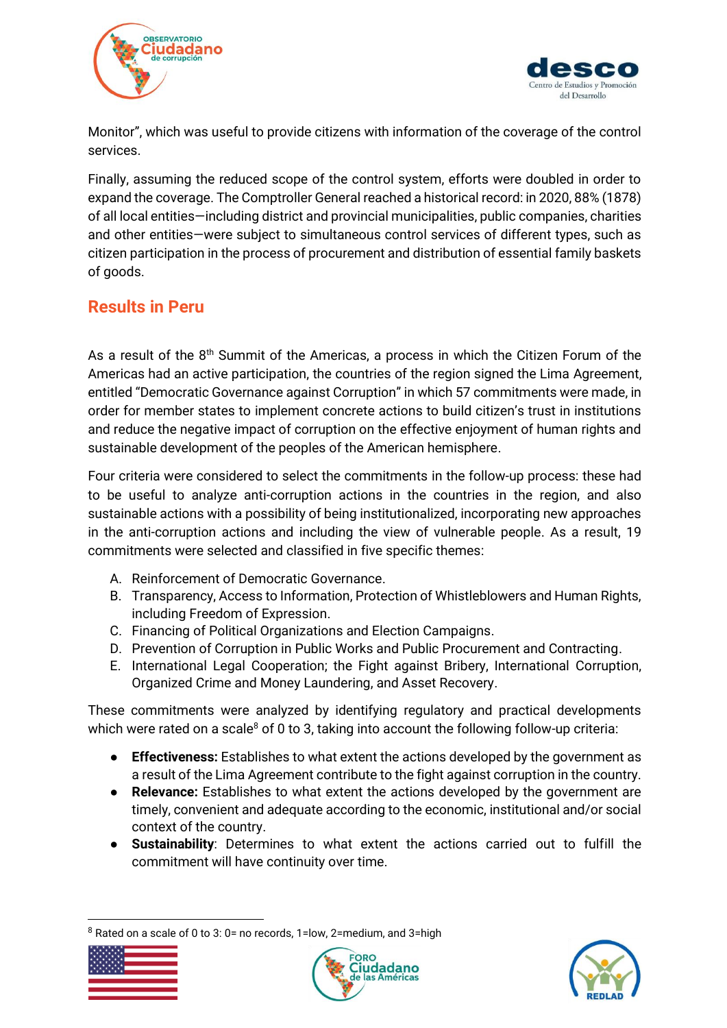



Monitor", which was useful to provide citizens with information of the coverage of the control services.

Finally, assuming the reduced scope of the control system, efforts were doubled in order to expand the coverage. The Comptroller General reached a historical record: in 2020, 88% (1878) of all local entities—including district and provincial municipalities, public companies, charities and other entities—were subject to simultaneous control services of different types, such as citizen participation in the process of procurement and distribution of essential family baskets of goods.

# <span id="page-11-0"></span>**Results in Peru**

As a result of the  $8<sup>th</sup>$  Summit of the Americas, a process in which the Citizen Forum of the Americas had an active participation, the countries of the region signed the Lima Agreement, entitled "Democratic Governance against Corruption" in which 57 commitments were made, in order for member states to implement concrete actions to build citizen's trust in institutions and reduce the negative impact of corruption on the effective enjoyment of human rights and sustainable development of the peoples of the American hemisphere.

Four criteria were considered to select the commitments in the follow-up process: these had to be useful to analyze anti-corruption actions in the countries in the region, and also sustainable actions with a possibility of being institutionalized, incorporating new approaches in the anti-corruption actions and including the view of vulnerable people. As a result, 19 commitments were selected and classified in five specific themes:

- A. Reinforcement of Democratic Governance.
- B. Transparency, Access to Information, Protection of Whistleblowers and Human Rights, including Freedom of Expression.
- C. Financing of Political Organizations and Election Campaigns.
- D. Prevention of Corruption in Public Works and Public Procurement and Contracting.
- E. International Legal Cooperation; the Fight against Bribery, International Corruption, Organized Crime and Money Laundering, and Asset Recovery.

These commitments were analyzed by identifying regulatory and practical developments which were rated on a scale<sup>8</sup> of 0 to 3, taking into account the following follow-up criteria:

- **Effectiveness:** Establishes to what extent the actions developed by the government as a result of the Lima Agreement contribute to the fight against corruption in the country.
- **Relevance:** Establishes to what extent the actions developed by the government are timely, convenient and adequate according to the economic, institutional and/or social context of the country.
- **Sustainability**: Determines to what extent the actions carried out to fulfill the commitment will have continuity over time.

 $8$  Rated on a scale of 0 to 3: 0= no records, 1=low, 2=medium, and 3=high





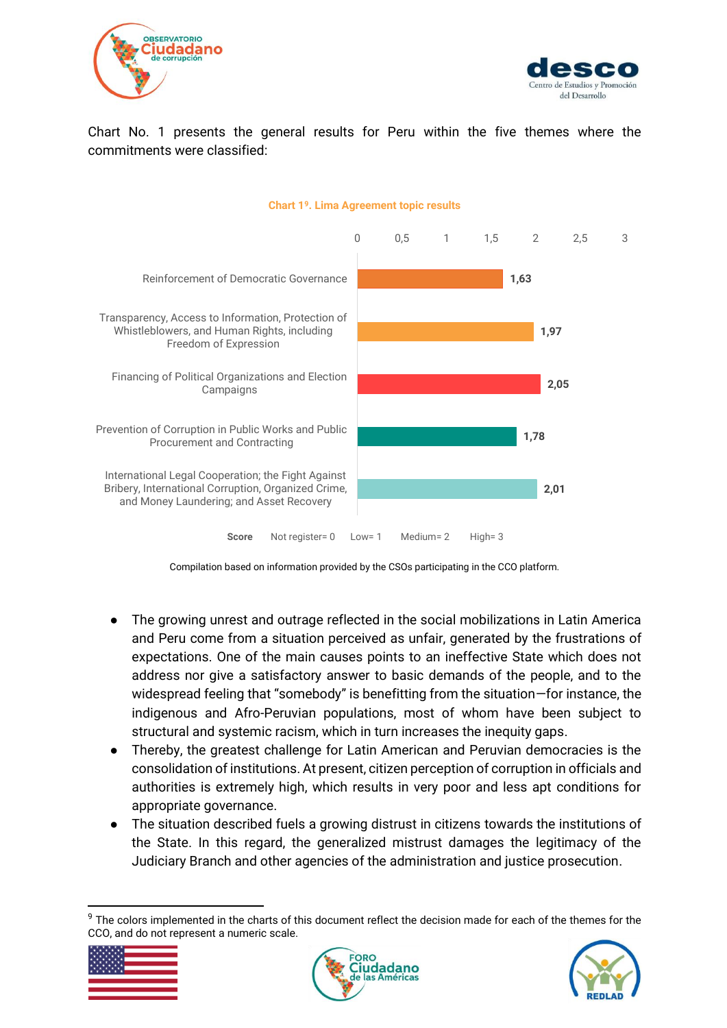



Chart No. 1 presents the general results for Peru within the five themes where the commitments were classified:



**Chart 1<sup>9</sup>. Lima Agreement topic results**

Compilation based on information provided by the CSOs participating in the CCO platform.

- The growing unrest and outrage reflected in the social mobilizations in Latin America and Peru come from a situation perceived as unfair, generated by the frustrations of expectations. One of the main causes points to an ineffective State which does not address nor give a satisfactory answer to basic demands of the people, and to the widespread feeling that "somebody" is benefitting from the situation—for instance, the indigenous and Afro-Peruvian populations, most of whom have been subject to structural and systemic racism, which in turn increases the inequity gaps.
- Thereby, the greatest challenge for Latin American and Peruvian democracies is the consolidation of institutions. At present, citizen perception of corruption in officials and authorities is extremely high, which results in very poor and less apt conditions for appropriate governance.
- The situation described fuels a growing distrust in citizens towards the institutions of the State. In this regard, the generalized mistrust damages the legitimacy of the Judiciary Branch and other agencies of the administration and justice prosecution.

<sup>&</sup>lt;sup>9</sup> The colors implemented in the charts of this document reflect the decision made for each of the themes for the CCO, and do not represent a numeric scale.





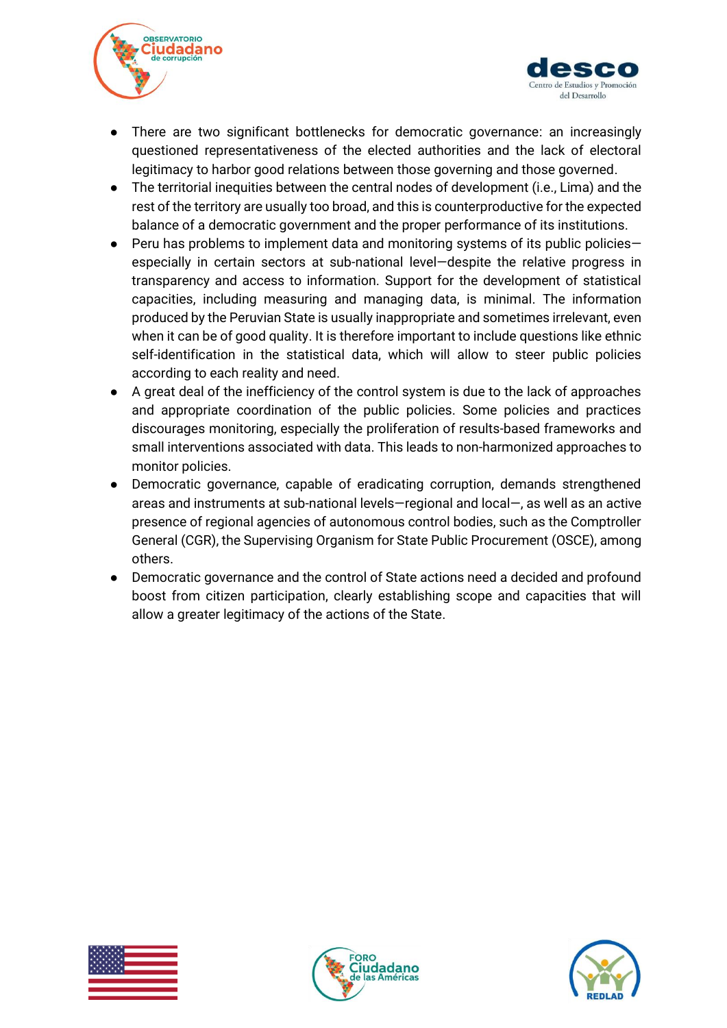



- There are two significant bottlenecks for democratic governance: an increasingly questioned representativeness of the elected authorities and the lack of electoral legitimacy to harbor good relations between those governing and those governed.
- The territorial inequities between the central nodes of development (i.e., Lima) and the rest of the territory are usually too broad, and this is counterproductive for the expected balance of a democratic government and the proper performance of its institutions.
- Peru has problems to implement data and monitoring systems of its public policiesespecially in certain sectors at sub-national level—despite the relative progress in transparency and access to information. Support for the development of statistical capacities, including measuring and managing data, is minimal. The information produced by the Peruvian State is usually inappropriate and sometimes irrelevant, even when it can be of good quality. It is therefore important to include questions like ethnic self-identification in the statistical data, which will allow to steer public policies according to each reality and need.
- A great deal of the inefficiency of the control system is due to the lack of approaches and appropriate coordination of the public policies. Some policies and practices discourages monitoring, especially the proliferation of results-based frameworks and small interventions associated with data. This leads to non-harmonized approaches to monitor policies.
- Democratic governance, capable of eradicating corruption, demands strengthened areas and instruments at sub-national levels—regional and local—, as well as an active presence of regional agencies of autonomous control bodies, such as the Comptroller General (CGR), the Supervising Organism for State Public Procurement (OSCE), among others.
- Democratic governance and the control of State actions need a decided and profound boost from citizen participation, clearly establishing scope and capacities that will allow a greater legitimacy of the actions of the State.





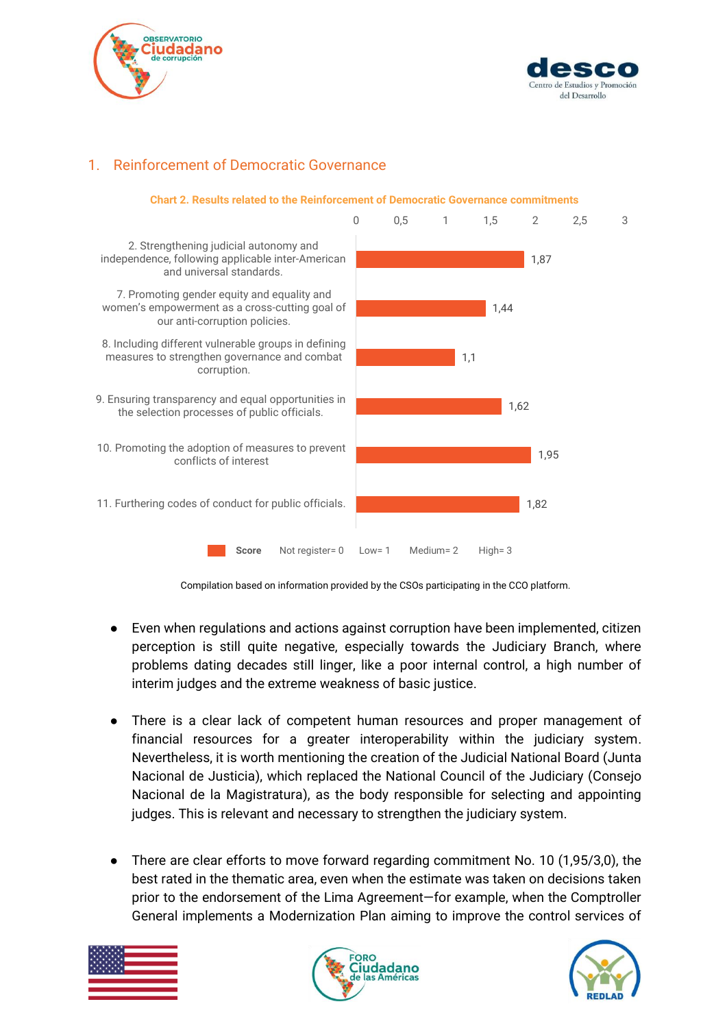



### <span id="page-14-0"></span>1. Reinforcement of Democratic Governance



Compilation based on information provided by the CSOs participating in the CCO platform.

- Even when regulations and actions against corruption have been implemented, citizen perception is still quite negative, especially towards the Judiciary Branch, where problems dating decades still linger, like a poor internal control, a high number of interim judges and the extreme weakness of basic justice.
- There is a clear lack of competent human resources and proper management of financial resources for a greater interoperability within the judiciary system. Nevertheless, it is worth mentioning the creation of the Judicial National Board (Junta Nacional de Justicia), which replaced the National Council of the Judiciary (Consejo Nacional de la Magistratura), as the body responsible for selecting and appointing judges. This is relevant and necessary to strengthen the judiciary system.
- There are clear efforts to move forward regarding commitment No. 10 (1,95/3,0), the best rated in the thematic area, even when the estimate was taken on decisions taken prior to the endorsement of the Lima Agreement—for example, when the Comptroller General implements a Modernization Plan aiming to improve the control services of





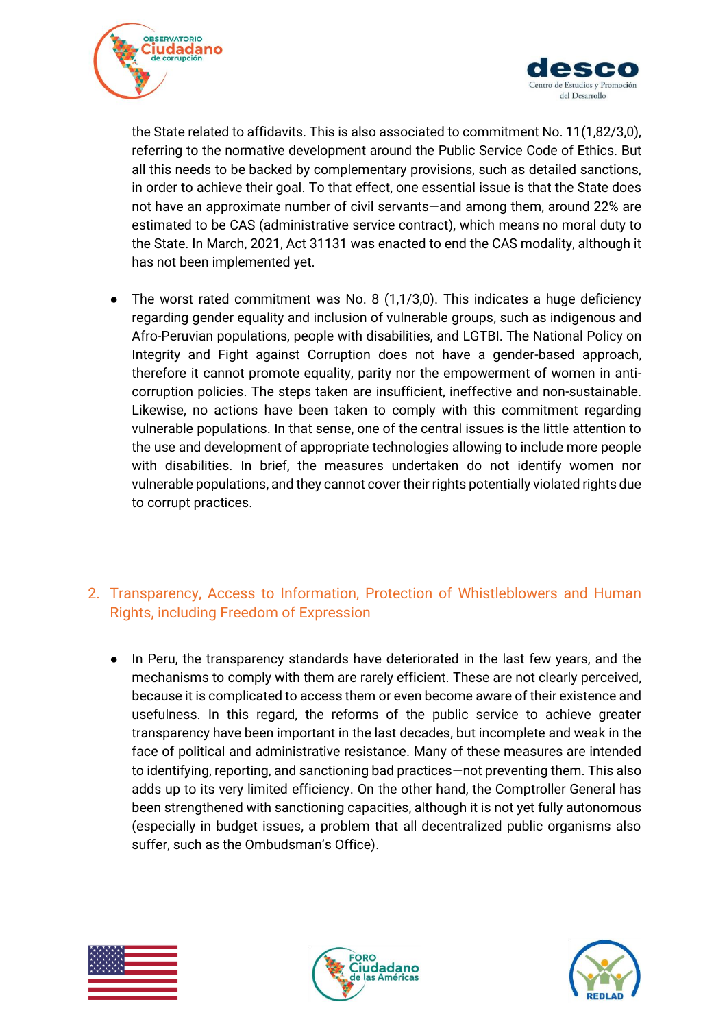



the State related to affidavits. This is also associated to commitment No. 11(1,82/3,0), referring to the normative development around the Public Service Code of Ethics. But all this needs to be backed by complementary provisions, such as detailed sanctions, in order to achieve their goal. To that effect, one essential issue is that the State does not have an approximate number of civil servants—and among them, around 22% are estimated to be CAS (administrative service contract), which means no moral duty to the State. In March, 2021, Act 31131 was enacted to end the CAS modality, although it has not been implemented yet.

● The worst rated commitment was No. 8 (1,1/3,0). This indicates a huge deficiency regarding gender equality and inclusion of vulnerable groups, such as indigenous and Afro-Peruvian populations, people with disabilities, and LGTBI. The National Policy on Integrity and Fight against Corruption does not have a gender-based approach, therefore it cannot promote equality, parity nor the empowerment of women in anticorruption policies. The steps taken are insufficient, ineffective and non-sustainable. Likewise, no actions have been taken to comply with this commitment regarding vulnerable populations. In that sense, one of the central issues is the little attention to the use and development of appropriate technologies allowing to include more people with disabilities. In brief, the measures undertaken do not identify women nor vulnerable populations, and they cannot cover their rights potentially violated rights due to corrupt practices.

### <span id="page-15-0"></span>2. Transparency, Access to Information, Protection of Whistleblowers and Human Rights, including Freedom of Expression

● In Peru, the transparency standards have deteriorated in the last few years, and the mechanisms to comply with them are rarely efficient. These are not clearly perceived, because it is complicated to access them or even become aware of their existence and usefulness. In this regard, the reforms of the public service to achieve greater transparency have been important in the last decades, but incomplete and weak in the face of political and administrative resistance. Many of these measures are intended to identifying, reporting, and sanctioning bad practices—not preventing them. This also adds up to its very limited efficiency. On the other hand, the Comptroller General has been strengthened with sanctioning capacities, although it is not yet fully autonomous (especially in budget issues, a problem that all decentralized public organisms also suffer, such as the Ombudsman's Office).





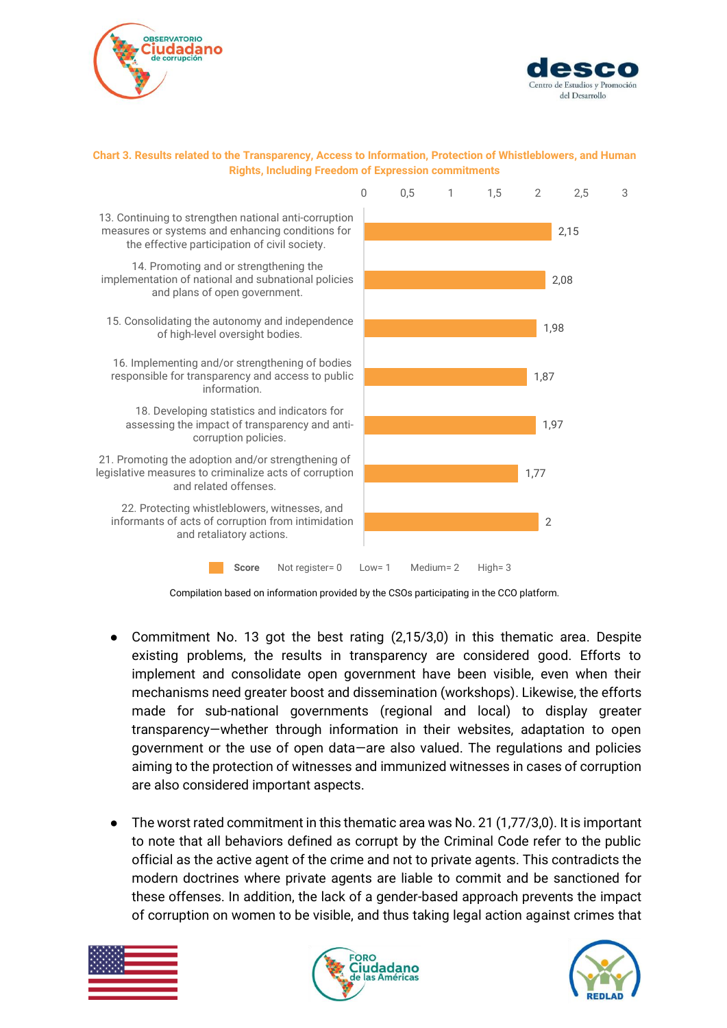



#### **Chart 3. Results related to the Transparency, Access to Information, Protection of Whistleblowers, and Human Rights, Including Freedom of Expression commitments**



Compilation based on information provided by the CSOs participating in the CCO platform.

- Commitment No. 13 got the best rating (2,15/3,0) in this thematic area. Despite existing problems, the results in transparency are considered good. Efforts to implement and consolidate open government have been visible, even when their mechanisms need greater boost and dissemination (workshops). Likewise, the efforts made for sub-national governments (regional and local) to display greater transparency—whether through information in their websites, adaptation to open government or the use of open data—are also valued. The regulations and policies aiming to the protection of witnesses and immunized witnesses in cases of corruption are also considered important aspects.
- The worst rated commitment in this thematic area was No. 21 (1,77/3,0). It is important to note that all behaviors defined as corrupt by the Criminal Code refer to the public official as the active agent of the crime and not to private agents. This contradicts the modern doctrines where private agents are liable to commit and be sanctioned for these offenses. In addition, the lack of a gender-based approach prevents the impact of corruption on women to be visible, and thus taking legal action against crimes that





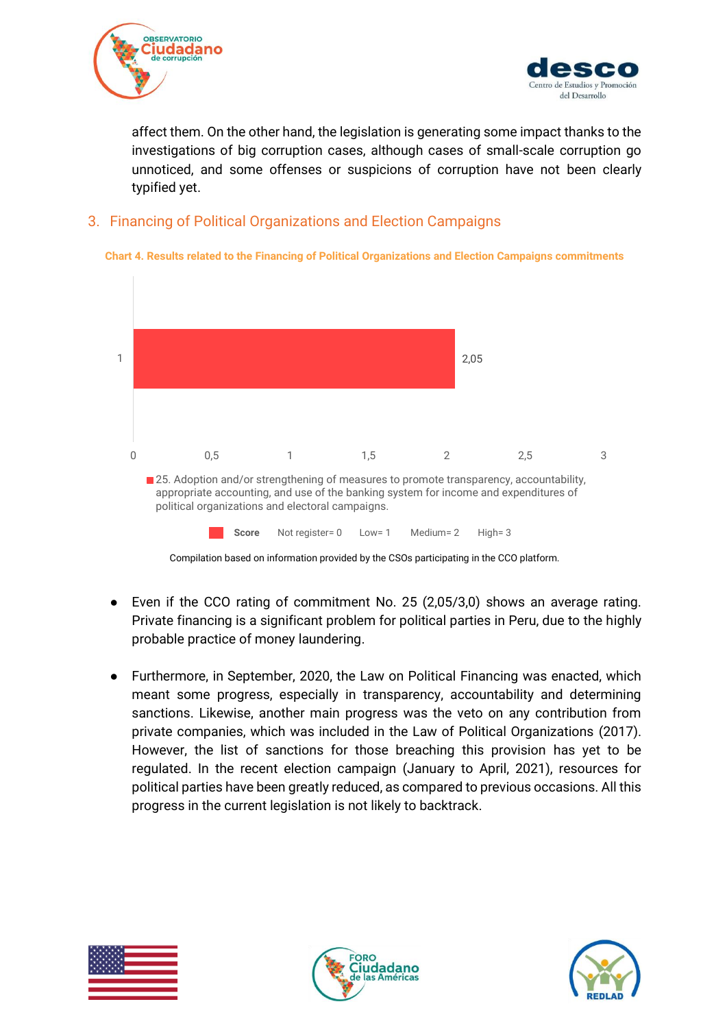



affect them. On the other hand, the legislation is generating some impact thanks to the investigations of big corruption cases, although cases of small-scale corruption go unnoticed, and some offenses or suspicions of corruption have not been clearly typified yet.

### <span id="page-17-0"></span>3. Financing of Political Organizations and Election Campaigns





- Even if the CCO rating of commitment No. 25 (2,05/3,0) shows an average rating. Private financing is a significant problem for political parties in Peru, due to the highly probable practice of money laundering.
- Furthermore, in September, 2020, the Law on Political Financing was enacted, which meant some progress, especially in transparency, accountability and determining sanctions. Likewise, another main progress was the veto on any contribution from private companies, which was included in the Law of Political Organizations (2017). However, the list of sanctions for those breaching this provision has yet to be regulated. In the recent election campaign (January to April, 2021), resources for political parties have been greatly reduced, as compared to previous occasions. All this progress in the current legislation is not likely to backtrack.





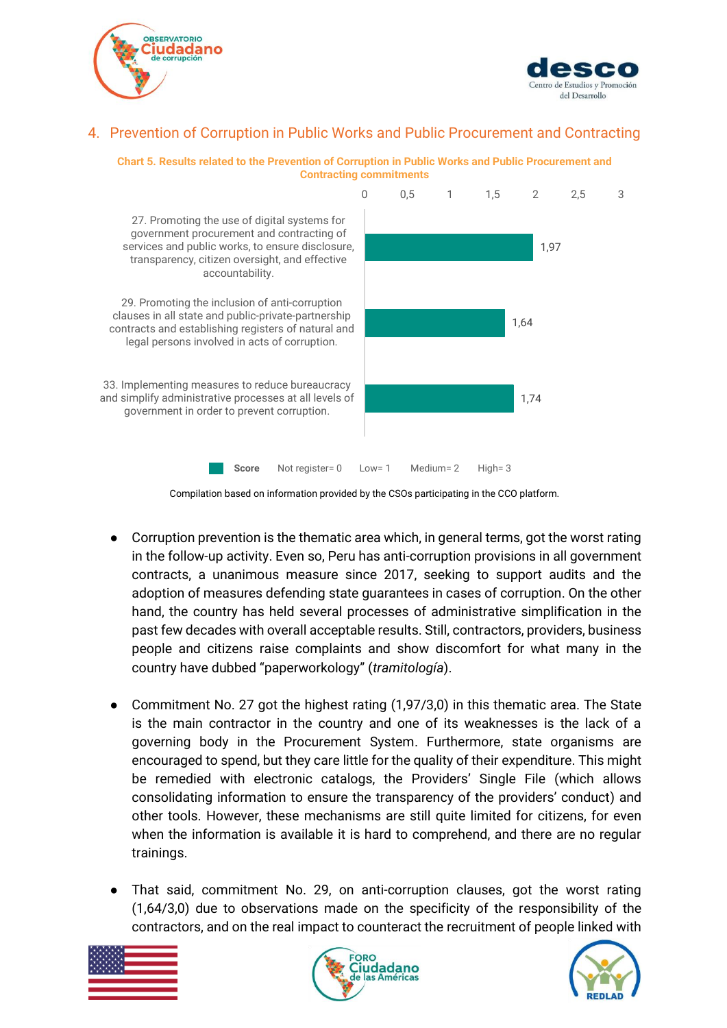



### <span id="page-18-0"></span>4. Prevention of Corruption in Public Works and Public Procurement and Contracting



#### **Chart 5. Results related to the Prevention of Corruption in Public Works and Public Procurement and Contracting commitments**

- Corruption prevention is the thematic area which, in general terms, got the worst rating in the follow-up activity. Even so, Peru has anti-corruption provisions in all government contracts, a unanimous measure since 2017, seeking to support audits and the adoption of measures defending state guarantees in cases of corruption. On the other hand, the country has held several processes of administrative simplification in the past few decades with overall acceptable results. Still, contractors, providers, business people and citizens raise complaints and show discomfort for what many in the country have dubbed "paperworkology" (*tramitología*).
- Commitment No. 27 got the highest rating (1,97/3,0) in this thematic area. The State is the main contractor in the country and one of its weaknesses is the lack of a governing body in the Procurement System. Furthermore, state organisms are encouraged to spend, but they care little for the quality of their expenditure. This might be remedied with electronic catalogs, the Providers' Single File (which allows consolidating information to ensure the transparency of the providers' conduct) and other tools. However, these mechanisms are still quite limited for citizens, for even when the information is available it is hard to comprehend, and there are no regular trainings.
- That said, commitment No. 29, on anti-corruption clauses, got the worst rating (1,64/3,0) due to observations made on the specificity of the responsibility of the contractors, and on the real impact to counteract the recruitment of people linked with







Compilation based on information provided by the CSOs participating in the CCO platform.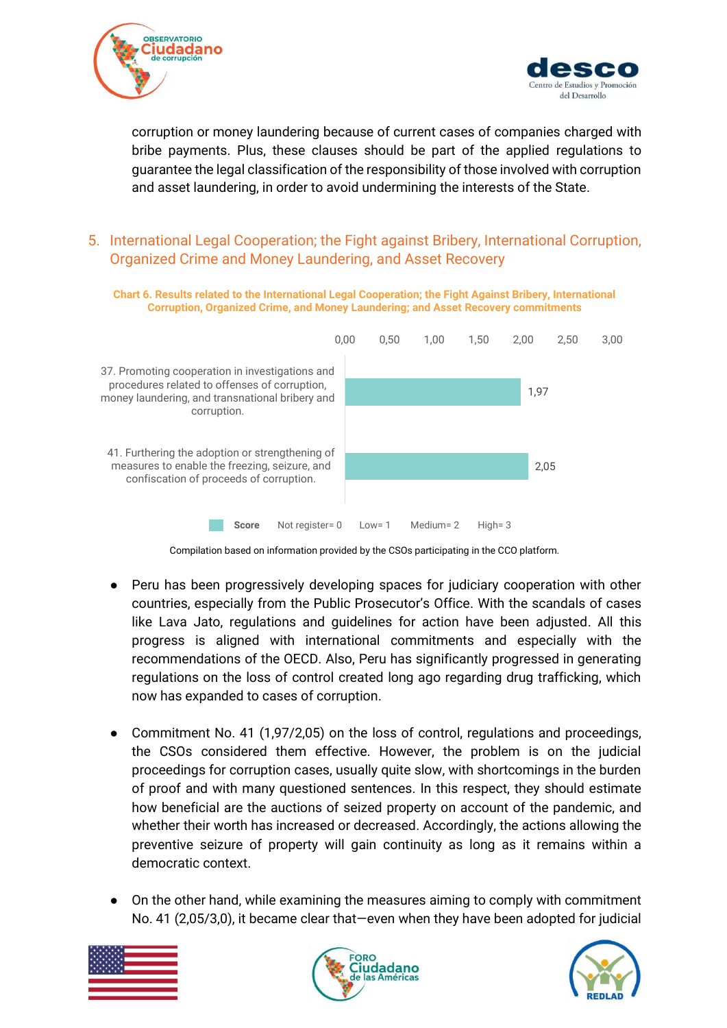



corruption or money laundering because of current cases of companies charged with bribe payments. Plus, these clauses should be part of the applied regulations to guarantee the legal classification of the responsibility of those involved with corruption and asset laundering, in order to avoid undermining the interests of the State.

### <span id="page-19-0"></span>5. International Legal Cooperation; the Fight against Bribery, International Corruption, Organized Crime and Money Laundering, and Asset Recovery



Compilation based on information provided by the CSOs participating in the CCO platform.

- Peru has been progressively developing spaces for judiciary cooperation with other countries, especially from the Public Prosecutor's Office. With the scandals of cases like Lava Jato, regulations and guidelines for action have been adjusted. All this progress is aligned with international commitments and especially with the recommendations of the OECD. Also, Peru has significantly progressed in generating regulations on the loss of control created long ago regarding drug trafficking, which now has expanded to cases of corruption.
- Commitment No. 41 (1,97/2,05) on the loss of control, regulations and proceedings, the CSOs considered them effective. However, the problem is on the judicial proceedings for corruption cases, usually quite slow, with shortcomings in the burden of proof and with many questioned sentences. In this respect, they should estimate how beneficial are the auctions of seized property on account of the pandemic, and whether their worth has increased or decreased. Accordingly, the actions allowing the preventive seizure of property will gain continuity as long as it remains within a democratic context.
- On the other hand, while examining the measures aiming to comply with commitment No. 41 (2,05/3,0), it became clear that—even when they have been adopted for judicial





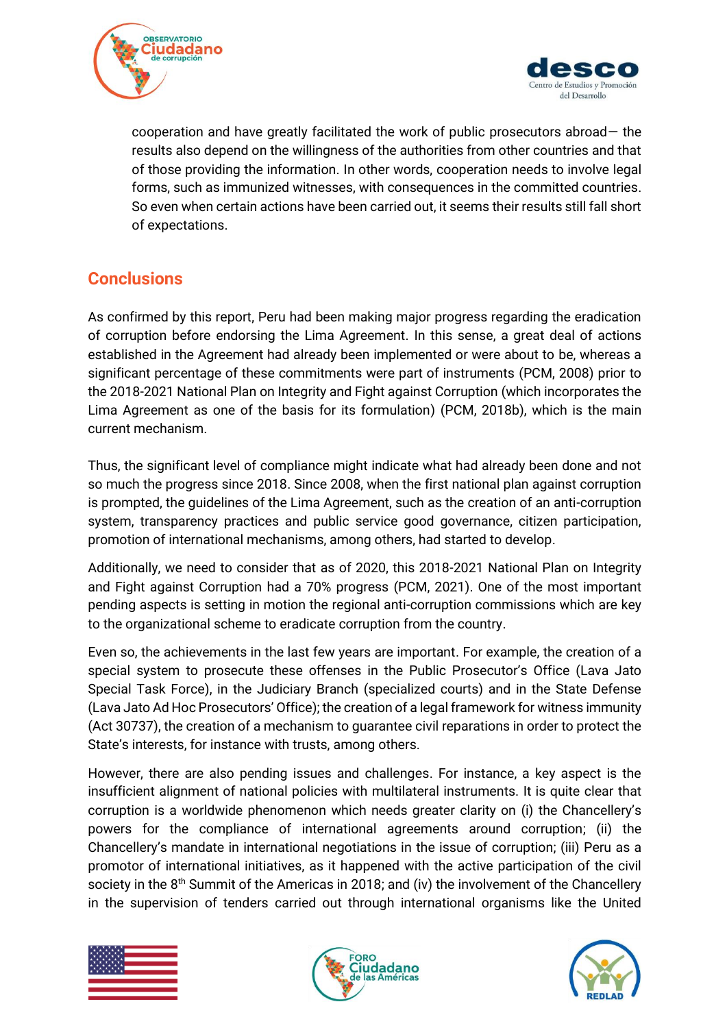



cooperation and have greatly facilitated the work of public prosecutors abroad— the results also depend on the willingness of the authorities from other countries and that of those providing the information. In other words, cooperation needs to involve legal forms, such as immunized witnesses, with consequences in the committed countries. So even when certain actions have been carried out, it seems their results still fall short of expectations.

# <span id="page-20-0"></span>**Conclusions**

As confirmed by this report, Peru had been making major progress regarding the eradication of corruption before endorsing the Lima Agreement. In this sense, a great deal of actions established in the Agreement had already been implemented or were about to be, whereas a significant percentage of these commitments were part of instruments (PCM, 2008) prior to the 2018-2021 National Plan on Integrity and Fight against Corruption (which incorporates the Lima Agreement as one of the basis for its formulation) (PCM, 2018b), which is the main current mechanism.

Thus, the significant level of compliance might indicate what had already been done and not so much the progress since 2018. Since 2008, when the first national plan against corruption is prompted, the guidelines of the Lima Agreement, such as the creation of an anti-corruption system, transparency practices and public service good governance, citizen participation, promotion of international mechanisms, among others, had started to develop.

Additionally, we need to consider that as of 2020, this 2018-2021 National Plan on Integrity and Fight against Corruption had a 70% progress (PCM, 2021). One of the most important pending aspects is setting in motion the regional anti-corruption commissions which are key to the organizational scheme to eradicate corruption from the country.

Even so, the achievements in the last few years are important. For example, the creation of a special system to prosecute these offenses in the Public Prosecutor's Office (Lava Jato Special Task Force), in the Judiciary Branch (specialized courts) and in the State Defense (Lava Jato Ad Hoc Prosecutors' Office); the creation of a legal framework for witness immunity (Act 30737), the creation of a mechanism to guarantee civil reparations in order to protect the State's interests, for instance with trusts, among others.

However, there are also pending issues and challenges. For instance, a key aspect is the insufficient alignment of national policies with multilateral instruments. It is quite clear that corruption is a worldwide phenomenon which needs greater clarity on (i) the Chancellery's powers for the compliance of international agreements around corruption; (ii) the Chancellery's mandate in international negotiations in the issue of corruption; (iii) Peru as a promotor of international initiatives, as it happened with the active participation of the civil society in the 8<sup>th</sup> Summit of the Americas in 2018; and (iv) the involvement of the Chancellery in the supervision of tenders carried out through international organisms like the United





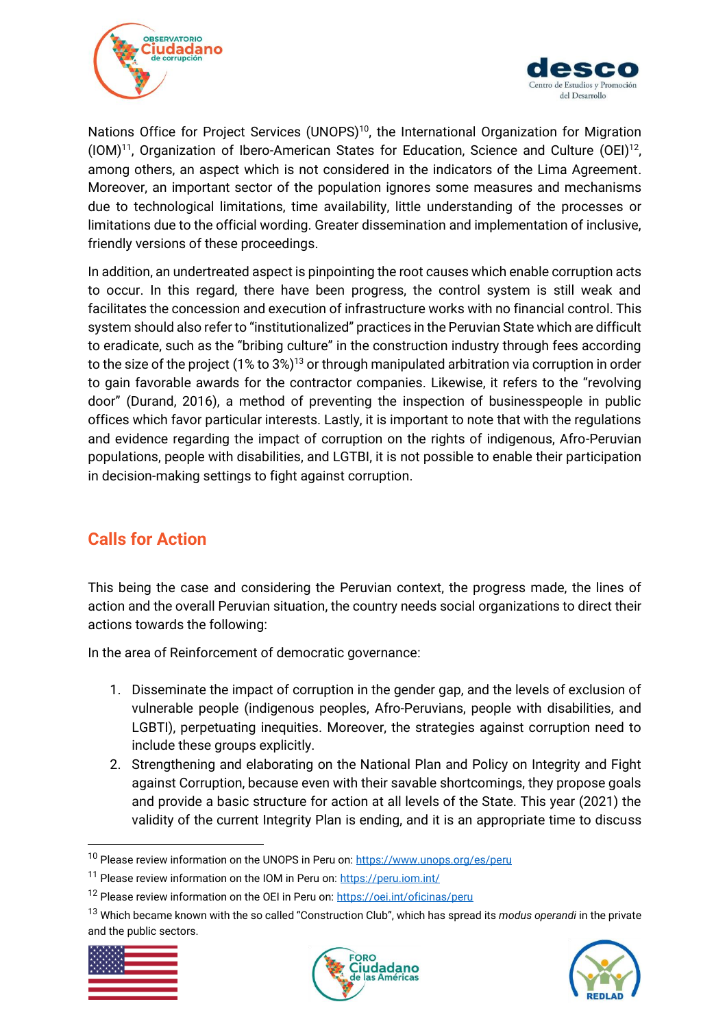



Nations Office for Project Services (UNOPS)<sup>10</sup>, the International Organization for Migration  $(10M)^{11}$ , Organization of Ibero-American States for Education, Science and Culture  $(OEI)^{12}$ , among others, an aspect which is not considered in the indicators of the Lima Agreement. Moreover, an important sector of the population ignores some measures and mechanisms due to technological limitations, time availability, little understanding of the processes or limitations due to the official wording. Greater dissemination and implementation of inclusive, friendly versions of these proceedings.

In addition, an undertreated aspect is pinpointing the root causes which enable corruption acts to occur. In this regard, there have been progress, the control system is still weak and facilitates the concession and execution of infrastructure works with no financial control. This system should also refer to "institutionalized" practices in the Peruvian State which are difficult to eradicate, such as the "bribing culture" in the construction industry through fees according to the size of the project (1% to 3%)<sup>13</sup> or through manipulated arbitration via corruption in order to gain favorable awards for the contractor companies. Likewise, it refers to the "revolving door" (Durand, 2016), a method of preventing the inspection of businesspeople in public offices which favor particular interests. Lastly, it is important to note that with the regulations and evidence regarding the impact of corruption on the rights of indigenous, Afro-Peruvian populations, people with disabilities, and LGTBI, it is not possible to enable their participation in decision-making settings to fight against corruption.

# **Calls for Action**

This being the case and considering the Peruvian context, the progress made, the lines of action and the overall Peruvian situation, the country needs social organizations to direct their actions towards the following:

In the area of Reinforcement of democratic governance:

- 1. Disseminate the impact of corruption in the gender gap, and the levels of exclusion of vulnerable people (indigenous peoples, Afro-Peruvians, people with disabilities, and LGBTI), perpetuating inequities. Moreover, the strategies against corruption need to include these groups explicitly.
- 2. Strengthening and elaborating on the National Plan and Policy on Integrity and Fight against Corruption, because even with their savable shortcomings, they propose goals and provide a basic structure for action at all levels of the State. This year (2021) the validity of the current Integrity Plan is ending, and it is an appropriate time to discuss

<sup>13</sup> Which became known with the so called "Construction Club", which has spread its *modus operandi* in the private and the public sectors.







<sup>&</sup>lt;sup>10</sup> Please review information on the UNOPS in Peru on[: https://www.unops.org/es/peru](https://www.unops.org/es/peru)

<sup>&</sup>lt;sup>11</sup> Please review information on the IOM in Peru on[: https://peru.iom.int/](https://peru.iom.int/)

<sup>&</sup>lt;sup>12</sup> Please review information on the OEI in Peru on:<https://oei.int/oficinas/peru>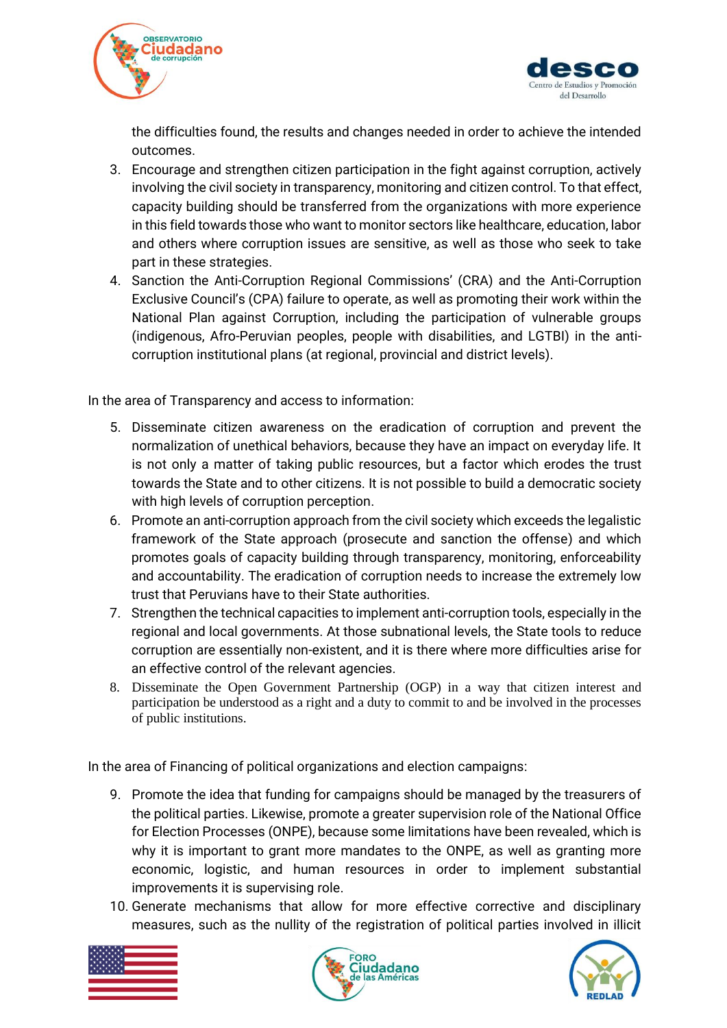



the difficulties found, the results and changes needed in order to achieve the intended outcomes.

- 3. Encourage and strengthen citizen participation in the fight against corruption, actively involving the civil society in transparency, monitoring and citizen control. To that effect, capacity building should be transferred from the organizations with more experience in this field towards those who want to monitor sectors like healthcare, education, labor and others where corruption issues are sensitive, as well as those who seek to take part in these strategies.
- 4. Sanction the Anti-Corruption Regional Commissions' (CRA) and the Anti-Corruption Exclusive Council's (CPA) failure to operate, as well as promoting their work within the National Plan against Corruption, including the participation of vulnerable groups (indigenous, Afro-Peruvian peoples, people with disabilities, and LGTBI) in the anticorruption institutional plans (at regional, provincial and district levels).

In the area of Transparency and access to information:

- 5. Disseminate citizen awareness on the eradication of corruption and prevent the normalization of unethical behaviors, because they have an impact on everyday life. It is not only a matter of taking public resources, but a factor which erodes the trust towards the State and to other citizens. It is not possible to build a democratic society with high levels of corruption perception.
- 6. Promote an anti-corruption approach from the civil society which exceeds the legalistic framework of the State approach (prosecute and sanction the offense) and which promotes goals of capacity building through transparency, monitoring, enforceability and accountability. The eradication of corruption needs to increase the extremely low trust that Peruvians have to their State authorities.
- 7. Strengthen the technical capacities to implement anti-corruption tools, especially in the regional and local governments. At those subnational levels, the State tools to reduce corruption are essentially non-existent, and it is there where more difficulties arise for an effective control of the relevant agencies.
- 8. Disseminate the Open Government Partnership (OGP) in a way that citizen interest and participation be understood as a right and a duty to commit to and be involved in the processes of public institutions.

In the area of Financing of political organizations and election campaigns:

- 9. Promote the idea that funding for campaigns should be managed by the treasurers of the political parties. Likewise, promote a greater supervision role of the National Office for Election Processes (ONPE), because some limitations have been revealed, which is why it is important to grant more mandates to the ONPE, as well as granting more economic, logistic, and human resources in order to implement substantial improvements it is supervising role.
- 10. Generate mechanisms that allow for more effective corrective and disciplinary measures, such as the nullity of the registration of political parties involved in illicit





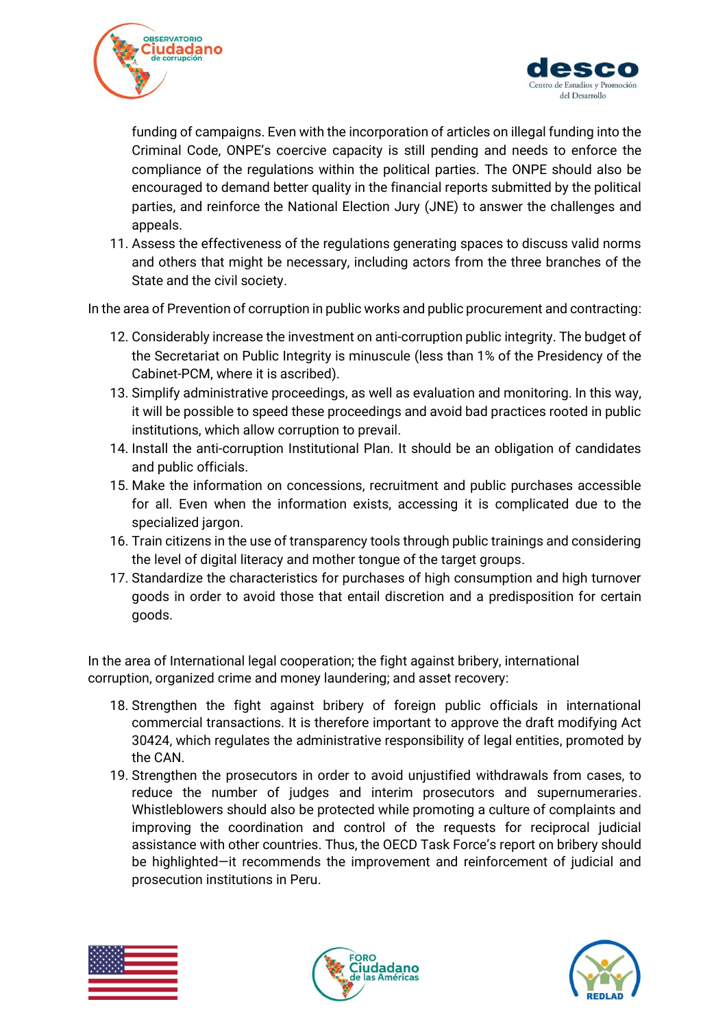



funding of campaigns. Even with the incorporation of articles on illegal funding into the Criminal Code, ONPE's coercive capacity is still pending and needs to enforce the compliance of the regulations within the political parties. The ONPE should also be encouraged to demand better quality in the financial reports submitted by the political parties, and reinforce the National Election Jury (JNE) to answer the challenges and appeals.

11. Assess the effectiveness of the regulations generating spaces to discuss valid norms and others that might be necessary, including actors from the three branches of the State and the civil society.

In the area of Prevention of corruption in public works and public procurement and contracting:

- 12. Considerably increase the investment on anti-corruption public integrity. The budget of the Secretariat on Public Integrity is minuscule (less than 1% of the Presidency of the Cabinet-PCM, where it is ascribed).
- 13. Simplify administrative proceedings, as well as evaluation and monitoring. In this way, it will be possible to speed these proceedings and avoid bad practices rooted in public institutions, which allow corruption to prevail.
- 14. Install the anti-corruption Institutional Plan. It should be an obligation of candidates and public officials.
- 15. Make the information on concessions, recruitment and public purchases accessible for all. Even when the information exists, accessing it is complicated due to the specialized jargon.
- 16. Train citizens in the use of transparency tools through public trainings and considering the level of digital literacy and mother tongue of the target groups.
- 17. Standardize the characteristics for purchases of high consumption and high turnover goods in order to avoid those that entail discretion and a predisposition for certain goods.

In the area of International legal cooperation; the fight against bribery, international corruption, organized crime and money laundering; and asset recovery:

- 18. Strengthen the fight against bribery of foreign public officials in international commercial transactions. It is therefore important to approve the draft modifying Act 30424, which regulates the administrative responsibility of legal entities, promoted by the CAN.
- 19. Strengthen the prosecutors in order to avoid unjustified withdrawals from cases, to reduce the number of judges and interim prosecutors and supernumeraries. Whistleblowers should also be protected while promoting a culture of complaints and improving the coordination and control of the requests for reciprocal judicial assistance with other countries. Thus, the OECD Task Force's report on bribery should be highlighted—it recommends the improvement and reinforcement of judicial and prosecution institutions in Peru.





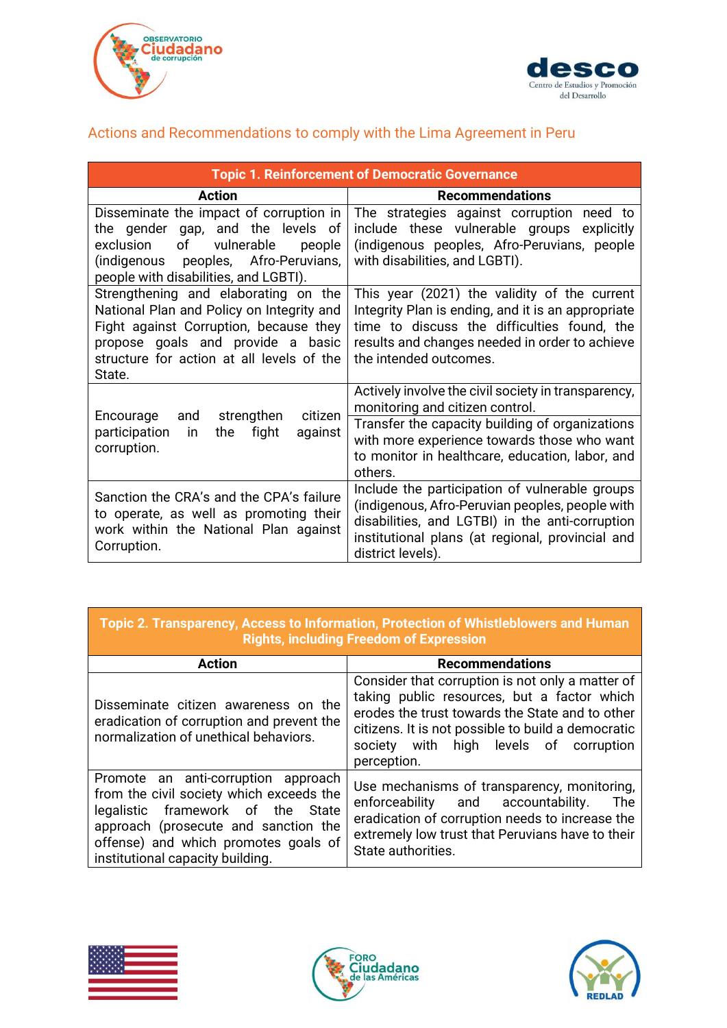



### <span id="page-24-0"></span>Actions and Recommendations to comply with the Lima Agreement in Peru

| <b>Topic 1. Reinforcement of Democratic Governance</b>                                                                                                                                                                  |                                                                                                                                                                                                                                                        |  |  |  |  |
|-------------------------------------------------------------------------------------------------------------------------------------------------------------------------------------------------------------------------|--------------------------------------------------------------------------------------------------------------------------------------------------------------------------------------------------------------------------------------------------------|--|--|--|--|
| <b>Action</b>                                                                                                                                                                                                           | <b>Recommendations</b>                                                                                                                                                                                                                                 |  |  |  |  |
| Disseminate the impact of corruption in<br>the gender gap, and the levels of<br>of vulnerable people<br>exclusion<br>(indigenous peoples, Afro-Peruvians,<br>people with disabilities, and LGBTI).                      | The strategies against corruption need to<br>include these vulnerable groups explicitly<br>(indigenous peoples, Afro-Peruvians, people<br>with disabilities, and LGBTI).                                                                               |  |  |  |  |
| Strengthening and elaborating on the<br>National Plan and Policy on Integrity and<br>Fight against Corruption, because they<br>propose goals and provide a basic<br>structure for action at all levels of the<br>State. | This year (2021) the validity of the current<br>Integrity Plan is ending, and it is an appropriate<br>time to discuss the difficulties found, the<br>results and changes needed in order to achieve<br>the intended outcomes.                          |  |  |  |  |
| Encourage and strengthen<br>citizen<br>participation<br>fight<br>$\overline{\mathsf{in}}$<br>the<br>against<br>corruption.                                                                                              | Actively involve the civil society in transparency,<br>monitoring and citizen control.<br>Transfer the capacity building of organizations<br>with more experience towards those who want<br>to monitor in healthcare, education, labor, and<br>others. |  |  |  |  |
| Sanction the CRA's and the CPA's failure<br>to operate, as well as promoting their<br>work within the National Plan against<br>Corruption.                                                                              | Include the participation of vulnerable groups<br>(indigenous, Afro-Peruvian peoples, people with<br>disabilities, and LGTBI) in the anti-corruption<br>institutional plans (at regional, provincial and<br>district levels).                          |  |  |  |  |

### **Topic 2. Transparency, Access to Information, Protection of Whistleblowers and Human Rights, including Freedom of Expression**

| <b>Action</b>                                                                                                                                                                                                                            | <b>Recommendations</b>                                                                                                                                                                                                                                            |  |  |  |
|------------------------------------------------------------------------------------------------------------------------------------------------------------------------------------------------------------------------------------------|-------------------------------------------------------------------------------------------------------------------------------------------------------------------------------------------------------------------------------------------------------------------|--|--|--|
| Disseminate citizen awareness on the<br>eradication of corruption and prevent the<br>normalization of unethical behaviors.                                                                                                               | Consider that corruption is not only a matter of<br>taking public resources, but a factor which<br>erodes the trust towards the State and to other<br>citizens. It is not possible to build a democratic<br>society with high levels of corruption<br>perception. |  |  |  |
| Promote an anti-corruption approach<br>from the civil society which exceeds the<br>legalistic framework of the State<br>approach (prosecute and sanction the<br>offense) and which promotes goals of<br>institutional capacity building. | Use mechanisms of transparency, monitoring,<br>enforceability and accountability.<br>The<br>eradication of corruption needs to increase the<br>extremely low trust that Peruvians have to their<br>State authorities.                                             |  |  |  |





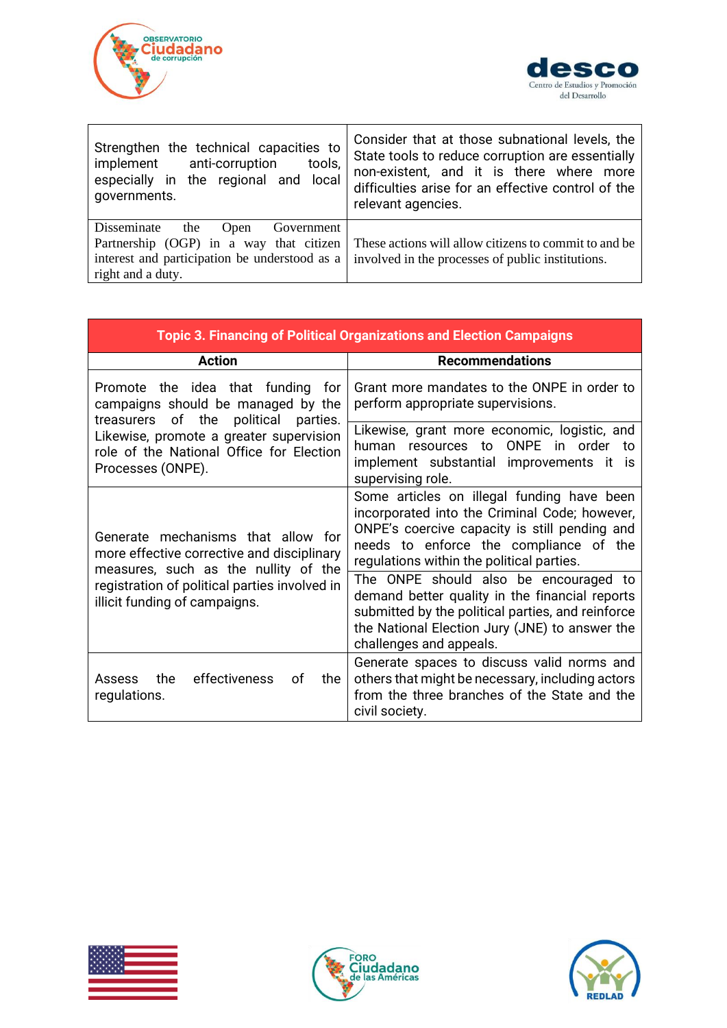



| Strengthen the technical capacities to                                                                                                                    | Consider that at those subnational levels, the                                                              |  |  |
|-----------------------------------------------------------------------------------------------------------------------------------------------------------|-------------------------------------------------------------------------------------------------------------|--|--|
| implement anti-corruption                                                                                                                                 | State tools to reduce corruption are essentially                                                            |  |  |
| tools,                                                                                                                                                    | non-existent, and it is there where more                                                                    |  |  |
| especially in the regional and local                                                                                                                      | difficulties arise for an effective control of the                                                          |  |  |
| governments.                                                                                                                                              | relevant agencies.                                                                                          |  |  |
| Disseminate<br>the<br>Government<br>Open<br>Partnership (OGP) in a way that citizen<br>interest and participation be understood as a<br>right and a duty. | These actions will allow citizens to commit to and be.<br>involved in the processes of public institutions. |  |  |

| <b>Topic 3. Financing of Political Organizations and Election Campaigns</b>                                            |                                                                                                                                                                                                                                     |  |  |  |  |
|------------------------------------------------------------------------------------------------------------------------|-------------------------------------------------------------------------------------------------------------------------------------------------------------------------------------------------------------------------------------|--|--|--|--|
| <b>Action</b>                                                                                                          | <b>Recommendations</b>                                                                                                                                                                                                              |  |  |  |  |
| Promote the idea that funding for<br>campaigns should be managed by the<br>treasurers of the<br>political<br>parties.  | Grant more mandates to the ONPE in order to<br>perform appropriate supervisions.                                                                                                                                                    |  |  |  |  |
| Likewise, promote a greater supervision<br>role of the National Office for Election<br>Processes (ONPE).               | Likewise, grant more economic, logistic, and<br><b>ONPE</b><br>human resources to<br>in order to<br>implement substantial improvements it<br><b>is</b><br>supervising role.                                                         |  |  |  |  |
| Generate mechanisms that allow for<br>more effective corrective and disciplinary                                       | Some articles on illegal funding have been<br>incorporated into the Criminal Code; however,<br>ONPE's coercive capacity is still pending and<br>needs to enforce the compliance of the<br>regulations within the political parties. |  |  |  |  |
| measures, such as the nullity of the<br>registration of political parties involved in<br>illicit funding of campaigns. | The ONPE should also be encouraged to<br>demand better quality in the financial reports<br>submitted by the political parties, and reinforce<br>the National Election Jury (JNE) to answer the<br>challenges and appeals.           |  |  |  |  |
| the<br>effectiveness<br>0f<br>the<br>Assess<br>regulations.                                                            | Generate spaces to discuss valid norms and<br>others that might be necessary, including actors<br>from the three branches of the State and the<br>civil society.                                                                    |  |  |  |  |





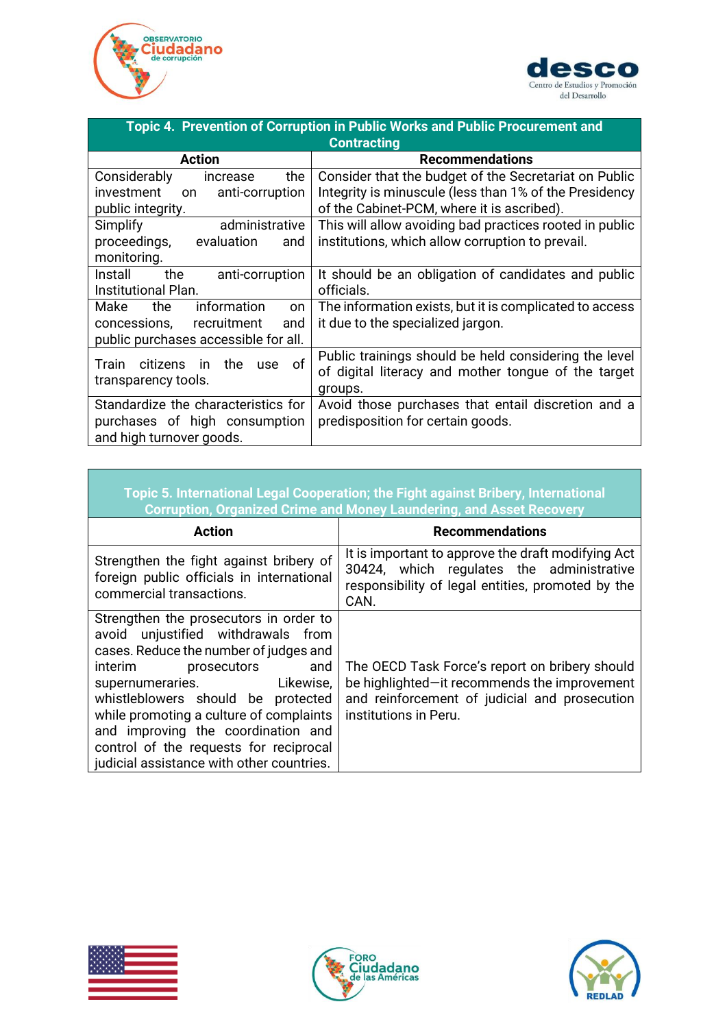



| Topic 4. Prevention of Corruption in Public Works and Public Procurement and |                                                         |  |  |  |  |  |  |
|------------------------------------------------------------------------------|---------------------------------------------------------|--|--|--|--|--|--|
| <b>Contracting</b>                                                           |                                                         |  |  |  |  |  |  |
| <b>Action</b>                                                                | <b>Recommendations</b>                                  |  |  |  |  |  |  |
| Considerably<br>the<br>increase                                              | Consider that the budget of the Secretariat on Public   |  |  |  |  |  |  |
| investment<br>anti-corruption<br>on.                                         | Integrity is minuscule (less than 1% of the Presidency  |  |  |  |  |  |  |
| public integrity.                                                            | of the Cabinet-PCM, where it is ascribed).              |  |  |  |  |  |  |
| Simplify<br>administrative                                                   | This will allow avoiding bad practices rooted in public |  |  |  |  |  |  |
| proceedings,<br>evaluation<br>and                                            | institutions, which allow corruption to prevail.        |  |  |  |  |  |  |
| monitoring.                                                                  |                                                         |  |  |  |  |  |  |
| the<br>Install<br>anti-corruption                                            | It should be an obligation of candidates and public     |  |  |  |  |  |  |
| Institutional Plan.                                                          | officials.                                              |  |  |  |  |  |  |
| information<br>Make<br>the.<br><b>on</b>                                     | The information exists, but it is complicated to access |  |  |  |  |  |  |
| concessions,<br>recruitment<br>and                                           | it due to the specialized jargon.                       |  |  |  |  |  |  |
| public purchases accessible for all.                                         |                                                         |  |  |  |  |  |  |
| of<br>Train<br>the<br>citizens<br>use<br>- in                                | Public trainings should be held considering the level   |  |  |  |  |  |  |
| transparency tools.                                                          | of digital literacy and mother tongue of the target     |  |  |  |  |  |  |
| groups.                                                                      |                                                         |  |  |  |  |  |  |
| Standardize the characteristics for                                          | Avoid those purchases that entail discretion and a      |  |  |  |  |  |  |
| purchases of high consumption                                                | predisposition for certain goods.                       |  |  |  |  |  |  |
| and high turnover goods.                                                     |                                                         |  |  |  |  |  |  |

|                                                                                                                                                                                                                                                                                                                                                                                                  | Topic 5. International Legal Cooperation; the Fight against Bribery, International<br><b>Corruption, Organized Crime and Money Laundering, and Asset Recovery</b>        |
|--------------------------------------------------------------------------------------------------------------------------------------------------------------------------------------------------------------------------------------------------------------------------------------------------------------------------------------------------------------------------------------------------|--------------------------------------------------------------------------------------------------------------------------------------------------------------------------|
| <b>Action</b>                                                                                                                                                                                                                                                                                                                                                                                    | <b>Recommendations</b>                                                                                                                                                   |
| Strengthen the fight against bribery of<br>foreign public officials in international<br>commercial transactions.                                                                                                                                                                                                                                                                                 | It is important to approve the draft modifying Act<br>30424, which regulates the administrative<br>responsibility of legal entities, promoted by the<br>CAN.             |
| Strengthen the prosecutors in order to<br>avoid unjustified withdrawals from<br>cases. Reduce the number of judges and<br>interim prosecutors<br>and<br>supernumeraries. Likewise,<br>whistleblowers should be protected<br>while promoting a culture of complaints<br>and improving the coordination and<br>control of the requests for reciprocal<br>judicial assistance with other countries. | The OECD Task Force's report on bribery should<br>be highlighted-it recommends the improvement<br>and reinforcement of judicial and prosecution<br>institutions in Peru. |



<span id="page-26-0"></span>

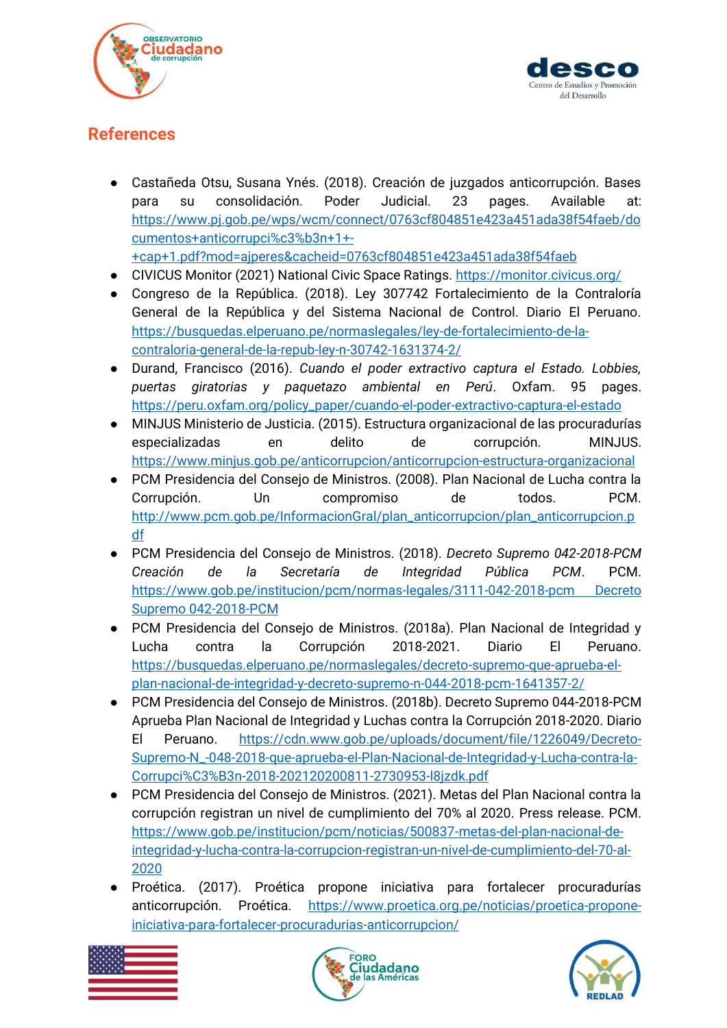



# **References**

- Castañeda Otsu, Susana Ynés. (2018). Creación de juzgados anticorrupción. Bases para su consolidación. Poder Judicial. 23 pages. Available at: [https://www.pj.gob.pe/wps/wcm/connect/0763cf804851e423a451ada38f54faeb/do](https://www.pj.gob.pe/wps/wcm/connect/0763cf804851e423a451ada38f54faeb/documentos+anticorrupci%c3%b3n+1+-+cap+1.pdf?mod=ajperes&cacheid=0763cf804851e423a451ada38f54faeb) [cumentos+anticorrupci%c3%b3n+1+-](https://www.pj.gob.pe/wps/wcm/connect/0763cf804851e423a451ada38f54faeb/documentos+anticorrupci%c3%b3n+1+-+cap+1.pdf?mod=ajperes&cacheid=0763cf804851e423a451ada38f54faeb) [+cap+1.pdf?mod=ajperes&cacheid=0763cf804851e423a451ada38f54faeb](https://www.pj.gob.pe/wps/wcm/connect/0763cf804851e423a451ada38f54faeb/documentos+anticorrupci%c3%b3n+1+-+cap+1.pdf?mod=ajperes&cacheid=0763cf804851e423a451ada38f54faeb)
- CIVICUS Monitor (2021) National Civic Space Ratings.<https://monitor.civicus.org/>
- 
- Congreso de la República. (2018). Ley 307742 Fortalecimiento de la Contraloría General de la República y del Sistema Nacional de Control. Diario El Peruano. [https://busquedas.elperuano.pe/normaslegales/ley-de-fortalecimiento-de-la](https://busquedas.elperuano.pe/normaslegales/ley-de-fortalecimiento-de-la-contraloria-general-de-la-repub-ley-n-30742-1631374-2/)[contraloria-general-de-la-repub-ley-n-30742-1631374-2/](https://busquedas.elperuano.pe/normaslegales/ley-de-fortalecimiento-de-la-contraloria-general-de-la-repub-ley-n-30742-1631374-2/)
- Durand, Francisco (2016). *Cuando el poder extractivo captura el Estado. Lobbies, puertas giratorias y paquetazo ambiental en Perú*. Oxfam. 95 pages. [https://peru.oxfam.org/policy\\_paper/cuando-el-poder-extractivo-captura-el-estado](https://peru.oxfam.org/policy_paper/cuando-el-poder-extractivo-captura-el-estado)
- MINJUS Ministerio de Justicia. (2015). Estructura organizacional de las procuradurías especializadas en delito de corrupción. MINJUS. <https://www.minjus.gob.pe/anticorrupcion/anticorrupcion-estructura-organizacional>
- PCM Presidencia del Consejo de Ministros. (2008). Plan Nacional de Lucha contra la Corrupción. Un compromiso de todos. PCM. [http://www.pcm.gob.pe/InformacionGral/plan\\_anticorrupcion/plan\\_anticorrupcion.p](http://www.pcm.gob.pe/InformacionGral/plan_anticorrupcion/plan_anticorrupcion.pdf) [df](http://www.pcm.gob.pe/InformacionGral/plan_anticorrupcion/plan_anticorrupcion.pdf)
- PCM Presidencia del Consejo de Ministros. (2018). *Decreto Supremo 042-2018-PCM Creación de la Secretaría de Integridad Pública PCM*. PCM. [https://www.gob.pe/institucion/pcm/normas-legales/3111-042-2018-pcm Decreto](https://www.gob.pe/institucion/pcm/normas-legales/3111-042-2018-pcm%20Decreto%20Supremo%20042-2018-PCM)  [Supremo 042-2018-PCM](https://www.gob.pe/institucion/pcm/normas-legales/3111-042-2018-pcm%20Decreto%20Supremo%20042-2018-PCM)
- PCM Presidencia del Consejo de Ministros. (2018a). Plan Nacional de Integridad y Lucha contra la Corrupción 2018-2021. Diario El Peruano. [https://busquedas.elperuano.pe/normaslegales/decreto-supremo-que-aprueba-el](https://busquedas.elperuano.pe/normaslegales/decreto-supremo-que-aprueba-el-plan-nacional-de-integridad-y-decreto-supremo-n-044-2018-pcm-1641357-2/)[plan-nacional-de-integridad-y-decreto-supremo-n-044-2018-pcm-1641357-2/](https://busquedas.elperuano.pe/normaslegales/decreto-supremo-que-aprueba-el-plan-nacional-de-integridad-y-decreto-supremo-n-044-2018-pcm-1641357-2/)
- PCM Presidencia del Consejo de Ministros. (2018b). Decreto Supremo 044-2018-PCM Aprueba Plan Nacional de Integridad y Luchas contra la Corrupción 2018-2020. Diario El Peruano. [https://cdn.www.gob.pe/uploads/document/file/1226049/Decreto-](https://cdn.www.gob.pe/uploads/document/file/1226049/Decreto-Supremo-N_-048-2018-que-aprueba-el-Plan-Nacional-de-Integridad-y-Lucha-contra-la-Corrupci%C3%B3n-2018-202120200811-2730953-l8jzdk.pdf)[Supremo-N\\_-048-2018-que-aprueba-el-Plan-Nacional-de-Integridad-y-Lucha-contra-la-](https://cdn.www.gob.pe/uploads/document/file/1226049/Decreto-Supremo-N_-048-2018-que-aprueba-el-Plan-Nacional-de-Integridad-y-Lucha-contra-la-Corrupci%C3%B3n-2018-202120200811-2730953-l8jzdk.pdf)[Corrupci%C3%B3n-2018-202120200811-2730953-l8jzdk.pdf](https://cdn.www.gob.pe/uploads/document/file/1226049/Decreto-Supremo-N_-048-2018-que-aprueba-el-Plan-Nacional-de-Integridad-y-Lucha-contra-la-Corrupci%C3%B3n-2018-202120200811-2730953-l8jzdk.pdf)
- PCM Presidencia del Consejo de Ministros. (2021). Metas del Plan Nacional contra la corrupción registran un nivel de cumplimiento del 70% al 2020. Press release. PCM. [https://www.gob.pe/institucion/pcm/noticias/500837-metas-del-plan-nacional-de](https://www.gob.pe/institucion/pcm/noticias/500837-metas-del-plan-nacional-de-integridad-y-lucha-contra-la-corrupcion-registran-un-nivel-de-cumplimiento-del-70-al-2020)[integridad-y-lucha-contra-la-corrupcion-registran-un-nivel-de-cumplimiento-del-70-al-](https://www.gob.pe/institucion/pcm/noticias/500837-metas-del-plan-nacional-de-integridad-y-lucha-contra-la-corrupcion-registran-un-nivel-de-cumplimiento-del-70-al-2020)[2020](https://www.gob.pe/institucion/pcm/noticias/500837-metas-del-plan-nacional-de-integridad-y-lucha-contra-la-corrupcion-registran-un-nivel-de-cumplimiento-del-70-al-2020)
- Proética. (2017). Proética propone iniciativa para fortalecer procuradurías anticorrupción. Proética. [https://www.proetica.org.pe/noticias/proetica-propone](https://www.proetica.org.pe/noticias/proetica-propone-iniciativa-para-fortalecer-procuradurias-anticorrupcion/)[iniciativa-para-fortalecer-procuradurias-anticorrupcion/](https://www.proetica.org.pe/noticias/proetica-propone-iniciativa-para-fortalecer-procuradurias-anticorrupcion/)





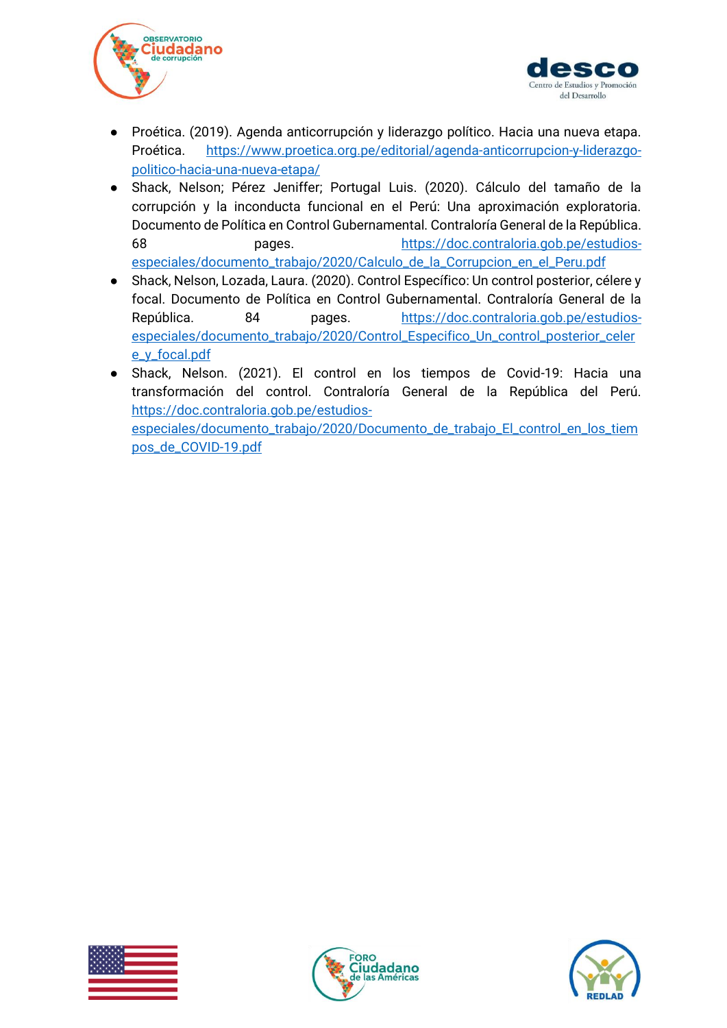



- Proética. (2019). Agenda anticorrupción y liderazgo político. Hacia una nueva etapa. Proética. [https://www.proetica.org.pe/editorial/agenda-anticorrupcion-y-liderazgo](https://www.proetica.org.pe/editorial/agenda-anticorrupcion-y-liderazgo-politico-hacia-una-nueva-etapa/)[politico-hacia-una-nueva-etapa/](https://www.proetica.org.pe/editorial/agenda-anticorrupcion-y-liderazgo-politico-hacia-una-nueva-etapa/)
- Shack, Nelson; Pérez Jeniffer; Portugal Luis. (2020). Cálculo del tamaño de la corrupción y la inconducta funcional en el Perú: Una aproximación exploratoria. Documento de Política en Control Gubernamental. Contraloría General de la República. 68 pages. [https://doc.contraloria.gob.pe/estudios](https://doc.contraloria.gob.pe/estudios-especiales/documento_trabajo/2020/Calculo_de_la_Corrupcion_en_el_Peru.pdf)[especiales/documento\\_trabajo/2020/Calculo\\_de\\_la\\_Corrupcion\\_en\\_el\\_Peru.pdf](https://doc.contraloria.gob.pe/estudios-especiales/documento_trabajo/2020/Calculo_de_la_Corrupcion_en_el_Peru.pdf)
- Shack, Nelson, Lozada, Laura. (2020). Control Específico: Un control posterior, célere y focal. Documento de Política en Control Gubernamental. Contraloría General de la República. 84 pages. [https://doc.contraloria.gob.pe/estudios](https://doc.contraloria.gob.pe/estudios-especiales/documento_trabajo/2020/Control_Especifico_Un_control_posterior_celere_y_focal.pdf)[especiales/documento\\_trabajo/2020/Control\\_Especifico\\_Un\\_control\\_posterior\\_celer](https://doc.contraloria.gob.pe/estudios-especiales/documento_trabajo/2020/Control_Especifico_Un_control_posterior_celere_y_focal.pdf) [e\\_y\\_focal.pdf](https://doc.contraloria.gob.pe/estudios-especiales/documento_trabajo/2020/Control_Especifico_Un_control_posterior_celere_y_focal.pdf)
- Shack, Nelson. (2021). El control en los tiempos de Covid-19: Hacia una transformación del control. Contraloría General de la República del Perú. [https://doc.contraloria.gob.pe/estudios](https://doc.contraloria.gob.pe/estudios-especiales/documento_trabajo/2020/Documento_de_trabajo_El_control_en_los_tiempos_de_COVID-19.pdf)[especiales/documento\\_trabajo/2020/Documento\\_de\\_trabajo\\_El\\_control\\_en\\_los\\_tiem](https://doc.contraloria.gob.pe/estudios-especiales/documento_trabajo/2020/Documento_de_trabajo_El_control_en_los_tiempos_de_COVID-19.pdf) [pos\\_de\\_COVID-19.pdf](https://doc.contraloria.gob.pe/estudios-especiales/documento_trabajo/2020/Documento_de_trabajo_El_control_en_los_tiempos_de_COVID-19.pdf)





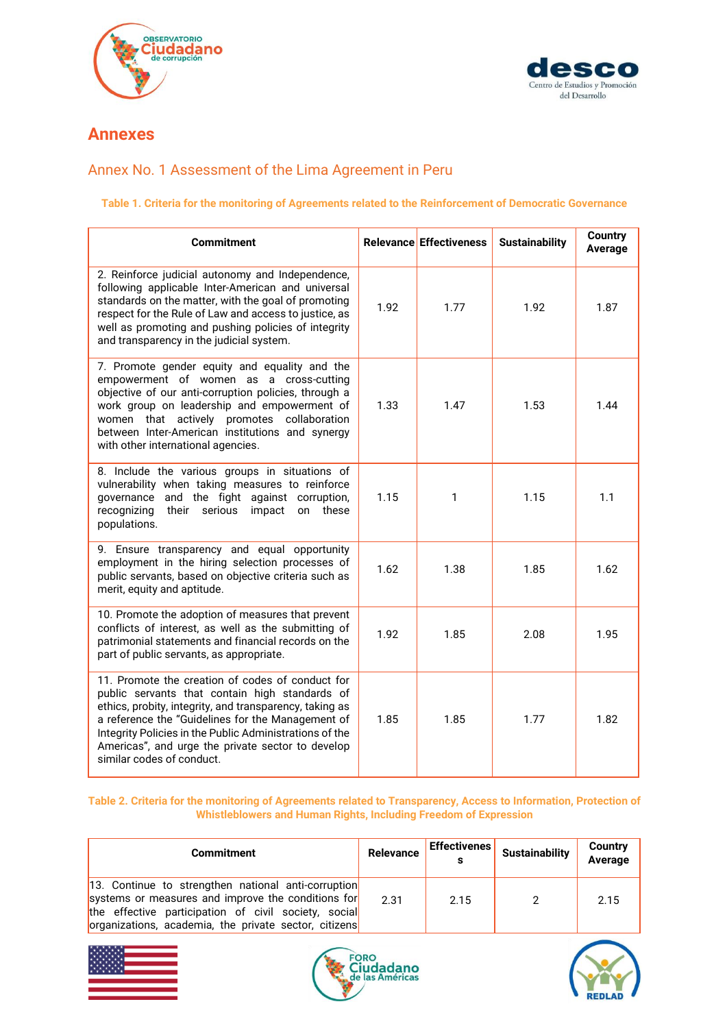



### <span id="page-29-0"></span>**Annexes**

### <span id="page-29-1"></span>Annex No. 1 Assessment of the Lima Agreement in Peru

#### **Table 1. Criteria for the monitoring of Agreements related to the Reinforcement of Democratic Governance**

| <b>Commitment</b>                                                                                                                                                                                                                                                                                                                                               |      | <b>Relevance Effectiveness</b> | <b>Sustainability</b> | <b>Country</b><br>Average |
|-----------------------------------------------------------------------------------------------------------------------------------------------------------------------------------------------------------------------------------------------------------------------------------------------------------------------------------------------------------------|------|--------------------------------|-----------------------|---------------------------|
| 2. Reinforce judicial autonomy and Independence,<br>following applicable Inter-American and universal<br>standards on the matter, with the goal of promoting<br>respect for the Rule of Law and access to justice, as<br>well as promoting and pushing policies of integrity<br>and transparency in the judicial system.                                        | 1.92 | 1.77                           | 1.92                  | 1.87                      |
| 7. Promote gender equity and equality and the<br>empowerment of women as a cross-cutting<br>objective of our anti-corruption policies, through a<br>work group on leadership and empowerment of<br>women that actively promotes collaboration<br>between Inter-American institutions and synergy<br>with other international agencies.                          | 1.33 | 1.47                           | 1.53                  | 1.44                      |
| 8. Include the various groups in situations of<br>vulnerability when taking measures to reinforce<br>governance and the fight against corruption,<br>recognizing<br>serious<br>on these<br>their<br>impact<br>populations.                                                                                                                                      | 1.15 | 1                              | 1.15                  | 1.1                       |
| 9. Ensure transparency and equal opportunity<br>employment in the hiring selection processes of<br>public servants, based on objective criteria such as<br>merit, equity and aptitude.                                                                                                                                                                          | 1.62 | 1.38                           | 1.85                  | 1.62                      |
| 10. Promote the adoption of measures that prevent<br>conflicts of interest, as well as the submitting of<br>patrimonial statements and financial records on the<br>part of public servants, as appropriate.                                                                                                                                                     | 1.92 | 1.85                           | 2.08                  | 1.95                      |
| 11. Promote the creation of codes of conduct for<br>public servants that contain high standards of<br>ethics, probity, integrity, and transparency, taking as<br>a reference the "Guidelines for the Management of<br>Integrity Policies in the Public Administrations of the<br>Americas", and urge the private sector to develop<br>similar codes of conduct. | 1.85 | 1.85                           | 1.77                  | 1.82                      |

#### **Table 2. Criteria for the monitoring of Agreements related to Transparency, Access to Information, Protection of Whistleblowers and Human Rights, Including Freedom of Expression**

| <b>Commitment</b>                                                                                                                                                                                                          | <b>Relevance</b> | <b>Effectivenes</b> | <b>Sustainability</b> | Country<br>Average |
|----------------------------------------------------------------------------------------------------------------------------------------------------------------------------------------------------------------------------|------------------|---------------------|-----------------------|--------------------|
| 13. Continue to strengthen national anti-corruption<br>systems or measures and improve the conditions for<br>the effective participation of civil society, social<br>organizations, academia, the private sector, citizens | 2.31             | 2.15                |                       | 2.15               |





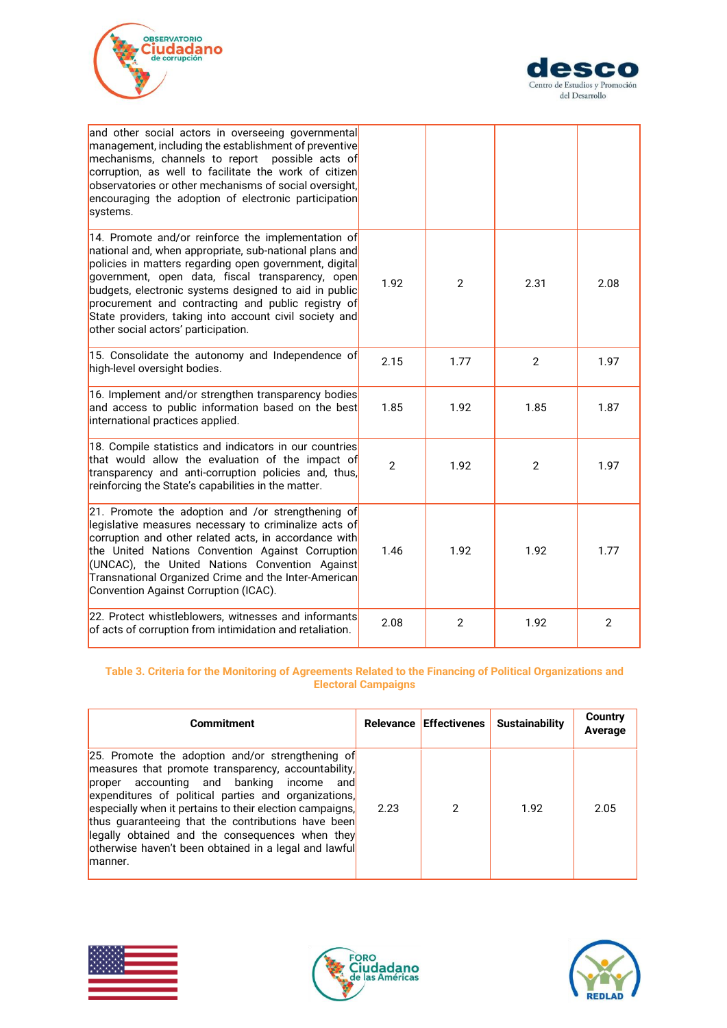



| and other social actors in overseeing governmental<br>management, including the establishment of preventive<br>mechanisms, channels to report possible acts of<br>corruption, as well to facilitate the work of citizen<br>observatories or other mechanisms of social oversight,<br>encouraging the adoption of electronic participation<br>systems.                                                                                                     |                |                |                |                |
|-----------------------------------------------------------------------------------------------------------------------------------------------------------------------------------------------------------------------------------------------------------------------------------------------------------------------------------------------------------------------------------------------------------------------------------------------------------|----------------|----------------|----------------|----------------|
| 14. Promote and/or reinforce the implementation of<br>national and, when appropriate, sub-national plans and<br>policies in matters regarding open government, digital<br>government, open data, fiscal transparency, open <mark>l</mark><br>budgets, electronic systems designed to aid in public<br>procurement and contracting and public registry of<br>State providers, taking into account civil society and<br>other social actors' participation. | 1.92           | $\overline{2}$ | 2.31           | 2.08           |
| 15. Consolidate the autonomy and Independence of<br>high-level oversight bodies.                                                                                                                                                                                                                                                                                                                                                                          | 2.15           | 1.77           | $\overline{2}$ | 1.97           |
| 16. Implement and/or strengthen transparency bodies<br>and access to public information based on the best<br>international practices applied.                                                                                                                                                                                                                                                                                                             | 1.85           | 1.92           | 1.85           | 1.87           |
| 18. Compile statistics and indicators in our countries<br>that would allow the evaluation of the impact of<br>transparency and anti-corruption policies and, thus,<br>reinforcing the State's capabilities in the matter.                                                                                                                                                                                                                                 | $\overline{2}$ | 1.92           | 2              | 1.97           |
| 21. Promote the adoption and /or strengthening of<br>legislative measures necessary to criminalize acts of<br>corruption and other related acts, in accordance with<br>the United Nations Convention Against Corruption<br>(UNCAC), the United Nations Convention Against<br>Transnational Organized Crime and the Inter-American<br>Convention Against Corruption (ICAC).                                                                                | 1.46           | 1.92           | 1.92           | 1.77           |
| 22. Protect whistleblowers, witnesses and informants<br>of acts of corruption from intimidation and retaliation.                                                                                                                                                                                                                                                                                                                                          | 2.08           | $\overline{2}$ | 1.92           | $\overline{2}$ |

#### **Table 3. Criteria for the Monitoring of Agreements Related to the Financing of Political Organizations and Electoral Campaigns**

| <b>Commitment</b>                                                                                                                                                                                                                                                                                                                                                                                                                                     |      |   | Relevance Effectivenes Sustainability | <b>Country</b><br>Average |
|-------------------------------------------------------------------------------------------------------------------------------------------------------------------------------------------------------------------------------------------------------------------------------------------------------------------------------------------------------------------------------------------------------------------------------------------------------|------|---|---------------------------------------|---------------------------|
| 25. Promote the adoption and/or strengthening of<br>measures that promote transparency, accountability,<br>proper accounting and banking income and<br>expenditures of political parties and organizations,<br>especially when it pertains to their election campaigns,<br>thus guaranteeing that the contributions have been<br>legally obtained and the consequences when they<br>otherwise haven't been obtained in a legal and lawful<br>lmanner. | 2.23 | 2 | 1.92                                  | 2.05                      |